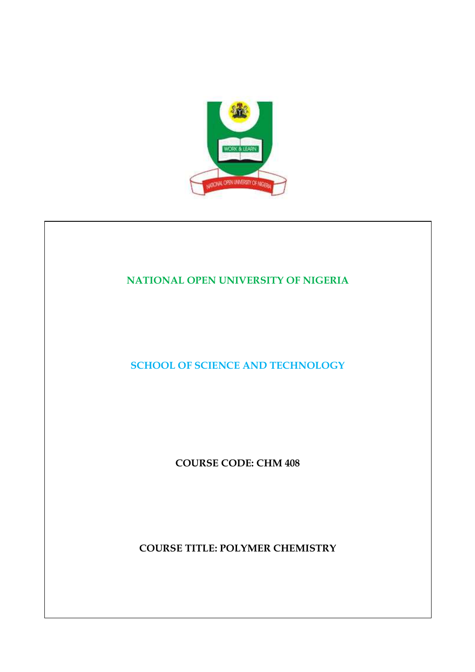

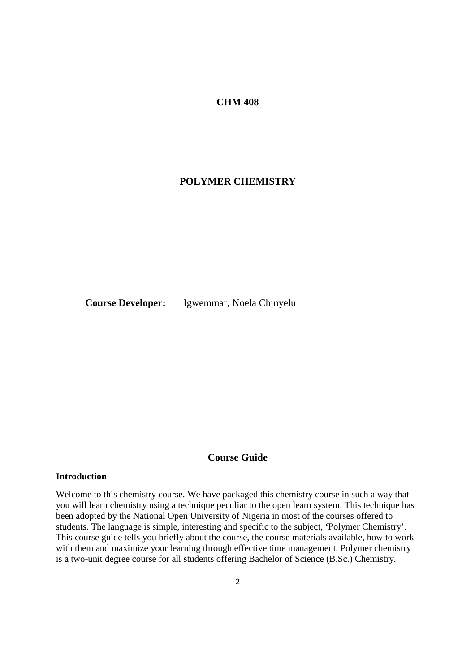## **CHM 408**

## **POLYMER CHEMISTRY**

 **Course Developer:** Igwemmar, Noela Chinyelu

#### **Course Guide**

#### **Introduction**

Welcome to this chemistry course. We have packaged this chemistry course in such a way that you will learn chemistry using a technique peculiar to the open learn system. This technique has been adopted by the National Open University of Nigeria in most of the courses offered to students. The language is simple, interesting and specific to the subject, 'Polymer Chemistry'. This course guide tells you briefly about the course, the course materials available, how to work with them and maximize your learning through effective time management. Polymer chemistry is a two-unit degree course for all students offering Bachelor of Science (B.Sc.) Chemistry.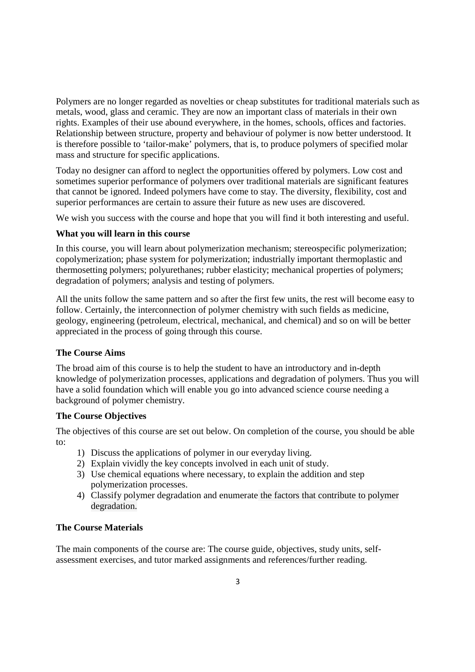Polymers are no longer regarded as novelties or cheap substitutes for traditional materials such as metals, wood, glass and ceramic. They are now an important class of materials in their own rights. Examples of their use abound everywhere, in the homes, schools, offices and factories. Relationship between structure, property and behaviour of polymer is now better understood. It is therefore possible to 'tailor-make' polymers, that is, to produce polymers of specified molar mass and structure for specific applications.

Today no designer can afford to neglect the opportunities offered by polymers. Low cost and sometimes superior performance of polymers over traditional materials are significant features that cannot be ignored. Indeed polymers have come to stay. The diversity, flexibility, cost and superior performances are certain to assure their future as new uses are discovered.

We wish you success with the course and hope that you will find it both interesting and useful.

### **What you will learn in this course**

In this course, you will learn about polymerization mechanism; stereospecific polymerization; copolymerization; phase system for polymerization; industrially important thermoplastic and thermosetting polymers; polyurethanes; rubber elasticity; mechanical properties of polymers; degradation of polymers; analysis and testing of polymers.

All the units follow the same pattern and so after the first few units, the rest will become easy to follow. Certainly, the interconnection of polymer chemistry with such fields as medicine, geology, engineering (petroleum, electrical, mechanical, and chemical) and so on will be better appreciated in the process of going through this course.

## **The Course Aims**

The broad aim of this course is to help the student to have an introductory and in-depth knowledge of polymerization processes, applications and degradation of polymers. Thus you will have a solid foundation which will enable you go into advanced science course needing a background of polymer chemistry.

## **The Course Objectives**

The objectives of this course are set out below. On completion of the course, you should be able to:

- 1) Discuss the applications of polymer in our everyday living.
- 2) Explain vividly the key concepts involved in each unit of study.
- 3) Use chemical equations where necessary, to explain the addition and step polymerization processes.
- 4) Classify polymer degradation and enumerate the factors that contribute to polymer degradation.

## **The Course Materials**

The main components of the course are: The course guide, objectives, study units, selfassessment exercises, and tutor marked assignments and references/further reading.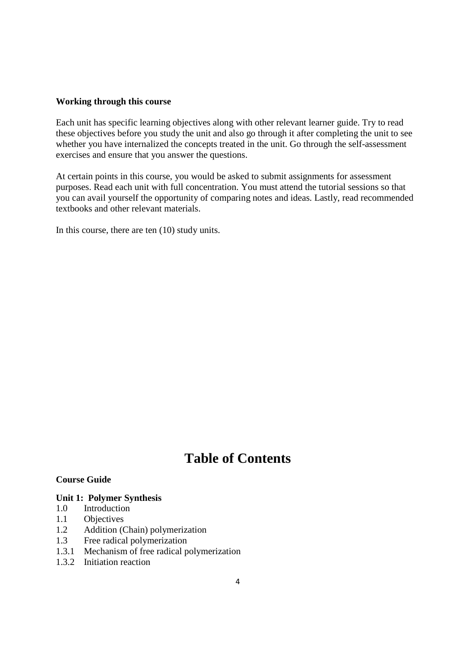#### **Working through this course**

Each unit has specific learning objectives along with other relevant learner guide. Try to read these objectives before you study the unit and also go through it after completing the unit to see whether you have internalized the concepts treated in the unit. Go through the self-assessment exercises and ensure that you answer the questions.

At certain points in this course, you would be asked to submit assignments for assessment purposes. Read each unit with full concentration. You must attend the tutorial sessions so that you can avail yourself the opportunity of comparing notes and ideas. Lastly, read recommended textbooks and other relevant materials.

In this course, there are ten (10) study units.

## **Table of Contents**

### **Course Guide**

#### **Unit 1: Polymer Synthesis**

- 1.0 Introduction
- 1.1 Objectives
- 1.2 Addition (Chain) polymerization
- 1.3 Free radical polymerization
- 1.3.1 Mechanism of free radical polymerization
- 1.3.2 Initiation reaction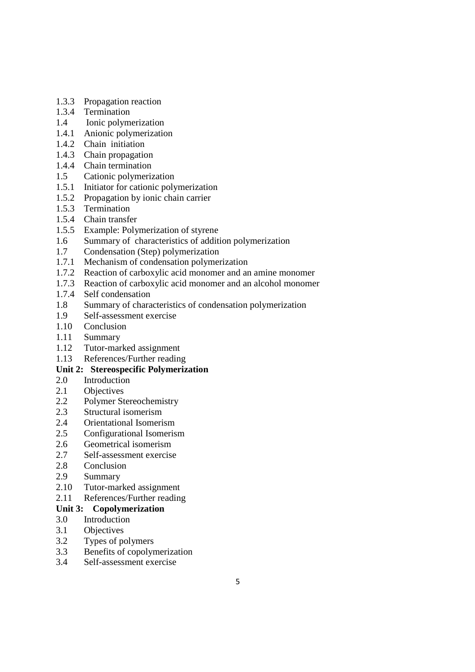- 1.3.3 Propagation reaction
- 1.3.4 Termination
- 1.4 Ionic polymerization
- 1.4.1 Anionic polymerization
- 1.4.2 Chain initiation
- 1.4.3 Chain propagation
- 1.4.4 Chain termination
- 1.5 Cationic polymerization
- 1.5.1 Initiator for cationic polymerization
- 1.5.2 Propagation by ionic chain carrier
- 1.5.3 Termination
- 1.5.4 Chain transfer
- 1.5.5 Example: Polymerization of styrene
- 1.6 Summary of characteristics of addition polymerization
- 1.7 Condensation (Step) polymerization
- 1.7.1 Mechanism of condensation polymerization
- 1.7.2 Reaction of carboxylic acid monomer and an amine monomer
- 1.7.3 Reaction of carboxylic acid monomer and an alcohol monomer
- 1.7.4 Self condensation
- 1.8 Summary of characteristics of condensation polymerization
- 1.9 Self-assessment exercise
- 1.10 Conclusion
- 1.11 Summary
- 1.12 Tutor-marked assignment<br>1.13 References/Further reading
- References/Further reading

# **Unit 2: Stereospecific Polymerization**

- 2.0Introduction
- 2.1 Objectives
- 2.2 Polymer Stereochemistry
- 2.3 Structural isomerism
- 2.4 Orientational Isomerism
- 2.5 Configurational Isomerism
- 2.6 Geometrical isomerism
- 2.7 Self-assessment exercise
- 2.8 Conclusion
- 2.9 Summary
- 2.10 Tutor-marked assignment
- 2.11 References/Further reading

## **Unit 3: Copolymerization**

- 3.0 Introduction
- 3.1 Objectives
- 3.2 Types of polymers
- 3.3 Benefits of copolymerization
- 3.4 Self-assessment exercise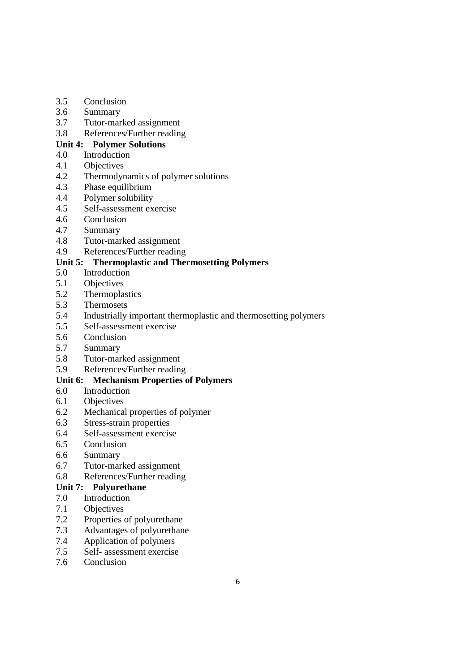- 3.5 Conclusion
- 3.6 Summary
- 3.7 Tutor-marked assignment
- 3.8 References/Further reading

## **Unit 4: Polymer Solutions**

- 4.0 Introduction
- 4.1 Objectives
- 4.2 Thermodynamics of polymer solutions
- 4.3 Phase equilibrium
- 4.4 Polymer solubility
- 4.5 Self-assessment exercise
- 4.6 Conclusion
- 4.7 Summary
- 4.8 Tutor-marked assignment
- 4.9 References/Further reading

## **Unit 5: Thermoplastic and Thermosetting Polymers**

- 5.0 Introduction
- 5.1 Objectives
- 5.2 Thermoplastics
- 5.3 Thermosets
- 5.4 Industrially important thermoplastic and thermosetting polymers
- 5.5 Self-assessment exercise
- 5.6 Conclusion
- 5.7 Summary
- 5.8 Tutor-marked assignment
- 5.9 References/Further reading

## **Unit 6: Mechanism Properties of Polymers**

- 6.0 Introduction
- 6.1 Objectives
- 6.2 Mechanical properties of polymer
- 6.3 Stress-strain properties
- 6.4 Self-assessment exercise
- 6.5 Conclusion
- 6.6 Summary
- 6.7 Tutor-marked assignment
- 6.8 References/Further reading

## **Unit 7: Polyurethane**

- 7.0 Introduction
- 7.1 Objectives
- 7.2 Properties of polyurethane<br>7.3 Advantages of polyurethan
- Advantages of polyurethane
- 7.4Application of polymers
- 7.5 Self- assessment exercise
- 7.6 Conclusion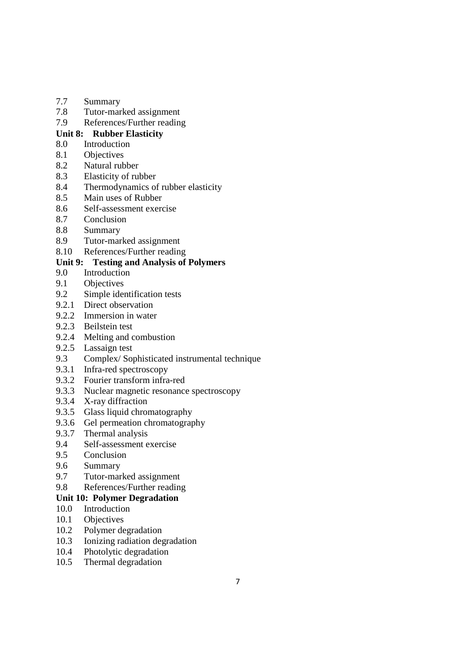- 7.7 Summary
- 7.8 Tutor-marked assignment
- 7.9 References/Further reading

## **Unit 8: Rubber Elasticity**

- 8.0 Introduction
- 8.1 Objectives
- 8.2 Natural rubber
- 8.3 Elasticity of rubber
- 8.4 Thermodynamics of rubber elasticity
- 8.5 Main uses of Rubber
- 8.6 Self-assessment exercise
- 8.7 Conclusion
- 8.8 Summary
- 8.9 Tutor-marked assignment
- 8.10 References/Further reading

## **Unit 9: Testing and Analysis of Polymers**

- 9.0 Introduction
- 9.1 Objectives
- 9.2 Simple identification tests
- 9.2.1 Direct observation
- 9.2.2 Immersion in water
- 9.2.3 Beilstein test
- 9.2.4 Melting and combustion
- 9.2.5 Lassaign test<br>9.3 Complex/So
- 9.3 Complex/ Sophisticated instrumental technique
- 9.3.1 Infra-red spectroscopy
- 9.3.2 Fourier transform infra-red
- 9.3.3 Nuclear magnetic resonance spectroscopy
- 9.3.4 X-ray diffraction
- 9.3.5 Glass liquid chromatography
- 9.3.6 Gel permeation chromatography
- 9.3.7 Thermal analysis
- 9.4 Self-assessment exercise
- 9.5 Conclusion
- 9.6 Summary
- 9.7 Tutor-marked assignment
- 9.8 References/Further reading

## **Unit 10: Polymer Degradation**

- 10.0 Introduction
- 10.1Objectives
- 10.2Polymer degradation
- 10.3 Ionizing radiation degradation
- 10.4 Photolytic degradation
- 10.5 Thermal degradation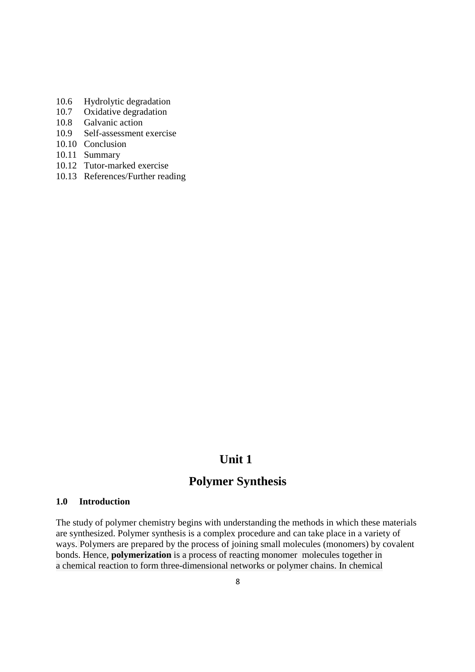- 10.6 Hydrolytic degradation
- 10.7 Oxidative degradation
- 10.8 Galvanic action
- 10.9 Self-assessment exercise
- 10.10 Conclusion
- 10.11 Summary
- 10.12 Tutor-marked exercise
- 10.13 References/Further reading

## **Unit 1**

## **Polymer Synthesis**

#### **1.0 Introduction**

The study of polymer chemistry begins with understanding the methods in which these materials are synthesized. Polymer synthesis is a complex procedure and can take place in a variety of ways. Polymers are prepared by the process of joining small molecules (monomers) by covalent bonds. Hence, **polymerization** is a process of reacting monomer molecules together in a chemical reaction to form three-dimensional networks or polymer chains. In chemical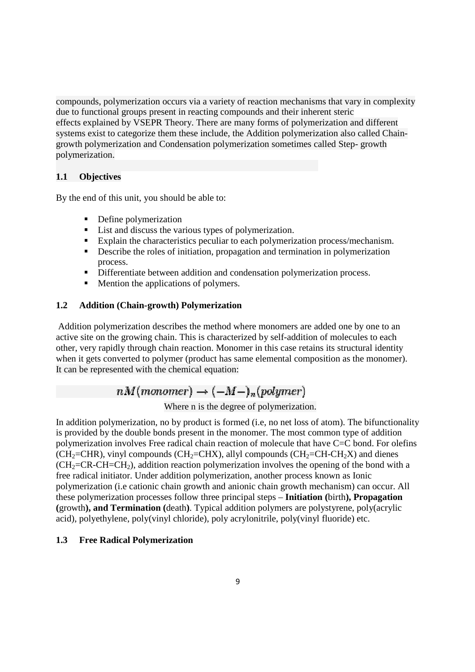compounds, polymerization occurs via a variety of reaction mechanisms that vary in complexity due to functional groups present in reacting compounds and their inherent steric effects explained by VSEPR Theory. There are many forms of polymerization and different systems exist to categorize them these include, the Addition polymerization also called Chaingrowth polymerization and Condensation polymerization sometimes called Step- growth polymerization.

## **1.1 Objectives**

By the end of this unit, you should be able to:

- Define polymerization
- **List and discuss the various types of polymerization.**
- Explain the characteristics peculiar to each polymerization process/mechanism.
- Describe the roles of initiation, propagation and termination in polymerization process.
- Differentiate between addition and condensation polymerization process.
- **Mention the applications of polymers.**

### **1.2 Addition (Chain-growth) Polymerization**

 Addition polymerization describes the method where monomers are added one by one to an active site on the growing chain. This is characterized by self-addition of molecules to each other, very rapidly through chain reaction. Monomer in this case retains its structural identity when it gets converted to polymer (product has same elemental composition as the monomer). It can be represented with the chemical equation:

## $nM(monomer) \rightarrow (-M-)_{n}(polumer)$

Where n is the degree of polymerization.

In addition polymerization, no by product is formed (i.e, no net loss of atom). The bifunctionality is provided by the double bonds present in the monomer. The most common type of addition polymerization involves Free radical chain reaction of molecule that have C=C bond. For olefins  $(CH<sub>2</sub>=CHR)$ , vinyl compounds (CH<sub>2</sub>=CHX), allyl compounds (CH<sub>2</sub>=CH-CH<sub>2</sub>X) and dienes  $(CH<sub>2</sub>=CR-CH=CH<sub>2</sub>)$ , addition reaction polymerization involves the opening of the bond with a free radical initiator. Under addition polymerization, another process known as Ionic polymerization (i.e cationic chain growth and anionic chain growth mechanism) can occur. All these polymerization processes follow three principal steps – **Initiation (**birth**), Propagation (**growth**), and Termination (**death**)**. Typical addition polymers are polystyrene, poly(acrylic acid), polyethylene, poly(vinyl chloride), poly acrylonitrile, poly(vinyl fluoride) etc.

## **1.3 Free Radical Polymerization**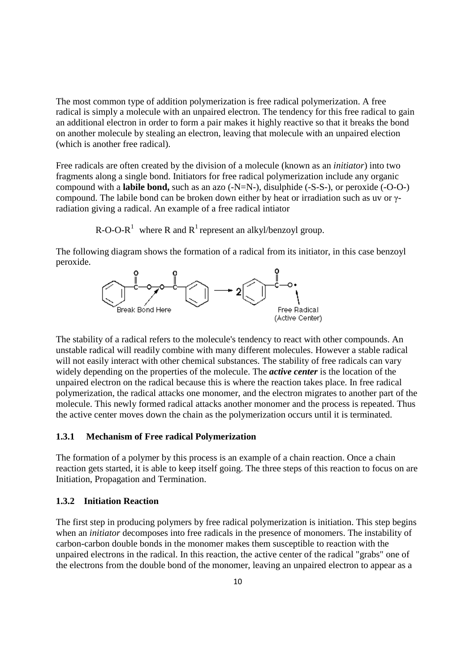The most common type of addition polymerization is free radical polymerization. A free radical is simply a molecule with an unpaired electron. The tendency for this free radical to gain an additional electron in order to form a pair makes it highly reactive so that it breaks the bond on another molecule by stealing an electron, leaving that molecule with an unpaired election (which is another free radical).

Free radicals are often created by the division of a molecule (known as an *initiator*) into two fragments along a single bond. Initiators for free radical polymerization include any organic compound with a **labile bond,** such as an azo (-N=N-), disulphide (-S-S-), or peroxide (-O-O-) compound. The labile bond can be broken down either by heat or irradiation such as uv or γradiation giving a radical. An example of a free radical intiator

R-O-O-R<sup>1</sup> where R and R<sup>1</sup> represent an alkyl/benzoyl group.

The following diagram shows the formation of a radical from its initiator, in this case benzoyl peroxide.



The stability of a radical refers to the molecule's tendency to react with other compounds. An unstable radical will readily combine with many different molecules. However a stable radical will not easily interact with other chemical substances. The stability of free radicals can vary widely depending on the properties of the molecule. The *active center* is the location of the unpaired electron on the radical because this is where the reaction takes place. In free radical polymerization, the radical attacks one monomer, and the electron migrates to another part of the molecule. This newly formed radical attacks another monomer and the process is repeated. Thus the active center moves down the chain as the polymerization occurs until it is terminated.

#### **1.3.1 Mechanism of Free radical Polymerization**

The formation of a polymer by this process is an example of a chain reaction. Once a chain reaction gets started, it is able to keep itself going. The three steps of this reaction to focus on are Initiation, Propagation and Termination.

#### **1.3.2 Initiation Reaction**

The first step in producing polymers by free radical polymerization is initiation. This step begins when an *initiator* decomposes into free radicals in the presence of monomers. The instability of carbon-carbon double bonds in the monomer makes them susceptible to reaction with the unpaired electrons in the radical. In this reaction, the active center of the radical "grabs" one of the electrons from the double bond of the monomer, leaving an unpaired electron to appear as a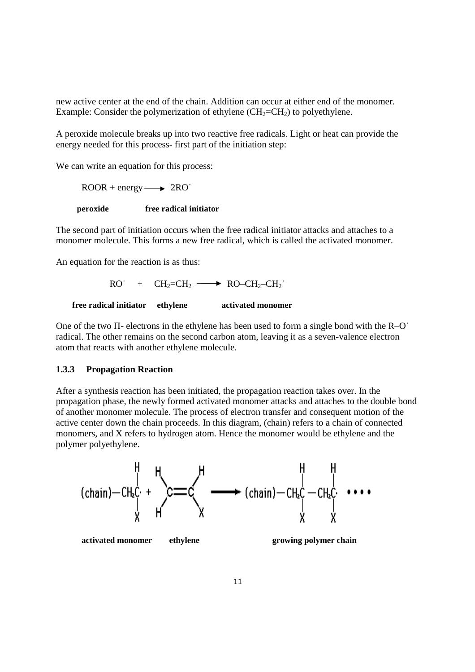new active center at the end of the chain. Addition can occur at either end of the monomer. Example: Consider the polymerization of ethylene  $(CH_2=CH_2)$  to polyethylene.

A peroxide molecule breaks up into two reactive free radicals. Light or heat can provide the energy needed for this process- first part of the initiation step:

We can write an equation for this process:

```
ROOR + energy \longrightarrow 2RO'
```
**peroxide free radical initiator** 

The second part of initiation occurs when the free radical initiator attacks and attaches to a monomer molecule. This forms a new free radical, which is called the activated monomer.

An equation for the reaction is as thus:

 $RO: + CH_2=CH_2 \longrightarrow RO-CH_2-CH_2$ 

#### **free radical initiator ethylene activated monomer**

One of the two  $\Pi$ - electrons in the ethylene has been used to form a single bond with the R–O<sup> $\cdot$ </sup> radical. The other remains on the second carbon atom, leaving it as a seven-valence electron atom that reacts with another ethylene molecule.

#### **1.3.3 Propagation Reaction**

After a synthesis reaction has been initiated, the propagation reaction takes over. In the propagation phase, the newly formed activated monomer attacks and attaches to the double bond of another monomer molecule. The process of electron transfer and consequent motion of the active center down the chain proceeds. In this diagram, (chain) refers to a chain of connected monomers, and X refers to hydrogen atom. Hence the monomer would be ethylene and the polymer polyethylene.



**activated monomer** ethylene growing polymer chain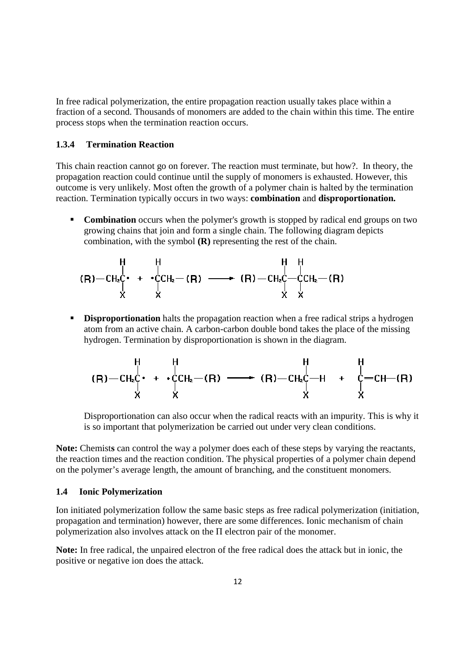In free radical polymerization, the entire propagation reaction usually takes place within a fraction of a second. Thousands of monomers are added to the chain within this time. The entire process stops when the termination reaction occurs.

## **1.3.4 Termination Reaction**

This chain reaction cannot go on forever. The reaction must terminate, but how?. In theory, the propagation reaction could continue until the supply of monomers is exhausted. However, this outcome is very unlikely. Most often the growth of a polymer chain is halted by the termination reaction. Termination typically occurs in two ways: **combination** and **disproportionation.**

**Combination** occurs when the polymer's growth is stopped by radical end groups on two growing chains that join and form a single chain. The following diagram depicts combination, with the symbol **(R)** representing the rest of the chain.

$$
(R)-CH2CH + C1CH2 - (R) \longrightarrow (R)-CH2C-H2 - (CH2 - (R)
$$
  
\n
$$
X \times X
$$

**Disproportionation** halts the propagation reaction when a free radical strips a hydrogen atom from an active chain. A carbon-carbon double bond takes the place of the missing hydrogen. Termination by disproportionation is shown in the diagram.

$$
(R)-CH2CH + \begin{array}{ccc} H & H & H & H \\ \vdots & \vdots & \ddots & \vdots \\ \vdots & \vdots & \ddots & \vdots \\ \vdots & \vdots & \ddots & \vdots \\ \vdots & \vdots & \ddots & \vdots \\ \vdots & \vdots & \ddots & \vdots \\ \vdots & \vdots & \ddots & \vdots \\ \vdots & \vdots & \ddots & \vdots \\ \vdots & \vdots & \ddots & \vdots \\ \vdots & \vdots & \ddots & \vdots \\ \vdots & \vdots & \ddots & \vdots \\ \vdots & \vdots & \ddots & \vdots \\ \vdots & \vdots & \ddots & \vdots \\ \vdots & \vdots & \ddots & \vdots \\ \vdots & \vdots & \ddots & \vdots \\ \vdots & \vdots & \ddots & \vdots \\ \vdots & \vdots & \ddots & \vdots \\ \vdots & \vdots & \ddots & \vdots \\ \vdots & \vdots & \ddots & \vdots \\ \vdots & \vdots & \ddots & \vdots \\ \vdots & \vdots & \ddots & \vdots \\ \vdots & \vdots & \ddots & \vdots \\ \vdots & \vdots & \ddots & \vdots \\ \vdots & \vdots & \ddots & \vdots \\ \vdots & \vdots & \ddots & \vdots \\ \vdots & \vdots & \ddots & \vdots \\ \vdots & \vdots & \ddots & \vdots \\ \vdots & \vdots & \ddots & \vdots \\ \vdots & \vdots & \ddots & \vdots \\ \vdots & \vdots & \ddots & \vdots \\ \vdots & \vdots & \ddots & \vdots \\ \vdots & \vdots & \vdots & \ddots \\ \vdots & \vdots & \vdots & \ddots \\ \vdots & \vdots & \vdots & \ddots \\ \vdots & \vdots & \vdots & \vdots \\ \vdots & \vdots & \vdots & \vdots \\ \vdots & \vdots & \vdots & \vdots \\ \vdots & \vdots & \vdots & \vdots \\ \vdots & \vdots & \vdots & \vdots \\ \vdots & \vdots & \vdots & \vdots \\ \vdots & \vdots & \vdots & \vdots \\ \vdots & \vdots & \vdots & \vdots \\ \vdots & \vdots & \vdots & \vdots \\ \vdots & \vdots & \vdots & \vdots \\ \vdots & \vdots & \vdots & \vdots \\ \vdots & \vdots & \vdots & \vdots \\ \vdots & \vdots
$$

Disproportionation can also occur when the radical reacts with an impurity. This is why it is so important that polymerization be carried out under very clean conditions.

Note: Chemists can control the way a polymer does each of these steps by varying the reactants, the reaction times and the reaction condition. The physical properties of a polymer chain depend on the polymer's average length, the amount of branching, and the constituent monomers.

#### **1.4 Ionic Polymerization**

Ion initiated polymerization follow the same basic steps as free radical polymerization (initiation, propagation and termination) however, there are some differences. Ionic mechanism of chain polymerization also involves attack on the Π electron pair of the monomer.

**Note:** In free radical, the unpaired electron of the free radical does the attack but in ionic, the positive or negative ion does the attack.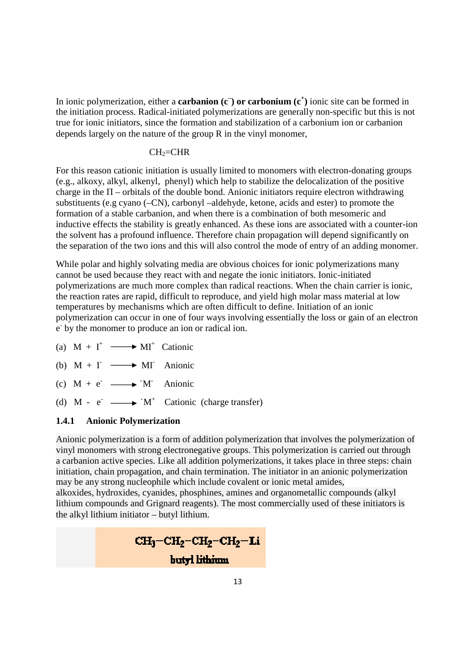In ionic polymerization, either a **carbanion** (c<sup> $\bar{c}$ </sup>) or **carbonium** (c<sup> $+$ </sup>) ionic site can be formed in the initiation process. Radical-initiated polymerizations are generally non-specific but this is not true for ionic initiators, since the formation and stabilization of a carbonium ion or carbanion depends largely on the nature of the group R in the vinyl monomer,

#### CH<sub>2</sub>=CHR

For this reason cationic initiation is usually limited to monomers with electron-donating groups (e.g., alkoxy, alkyl, alkenyl, phenyl) which help to stabilize the delocalization of the positive charge in the  $\Pi$  – orbitals of the double bond. Anionic initiators require electron withdrawing substituents (e.g cyano (–CN), carbonyl –aldehyde, ketone, acids and ester) to promote the formation of a stable carbanion, and when there is a combination of both mesomeric and inductive effects the stability is greatly enhanced. As these ions are associated with a counter-ion the solvent has a profound influence. Therefore chain propagation will depend significantly on the separation of the two ions and this will also control the mode of entry of an adding monomer.

While polar and highly solvating media are obvious choices for ionic polymerizations many cannot be used because they react with and negate the ionic initiators. Ionic-initiated polymerizations are much more complex than radical reactions. When the chain carrier is ionic, the reaction rates are rapid, difficult to reproduce, and yield high molar mass material at low temperatures by mechanisms which are often difficult to define. Initiation of an ionic polymerization can occur in one of four ways involving essentially the loss or gain of an electron e by the monomer to produce an ion or radical ion.

- (a)  $M + I^+ \longrightarrow MI^+$  Cationic
- (b)  $M + I \longrightarrow MI$  Anionic
- (c)  $M + e^ \longrightarrow$  'M<sup>-</sup> Anionic
- (d)  $M e^- \longrightarrow M^+$  Cationic (charge transfer)

#### **1.4.1 Anionic Polymerization**

Anionic polymerization is a form of addition polymerization that involves the polymerization of vinyl monomers with strong electronegative groups. This polymerization is carried out through a carbanion active species. Like all addition polymerizations, it takes place in three steps: chain initiation, chain propagation, and chain termination. The initiator in an anionic polymerization may be any strong nucleophile which include covalent or ionic metal amides, alkoxides, hydroxides, cyanides, phosphines, amines and organometallic compounds (alkyl lithium compounds and Grignard reagents). The most commercially used of these initiators is the alkyl lithium initiator – butyl lithium.

$$
CH_3-CH_2-CH_2-CH_2-Li
$$
 butyl lithium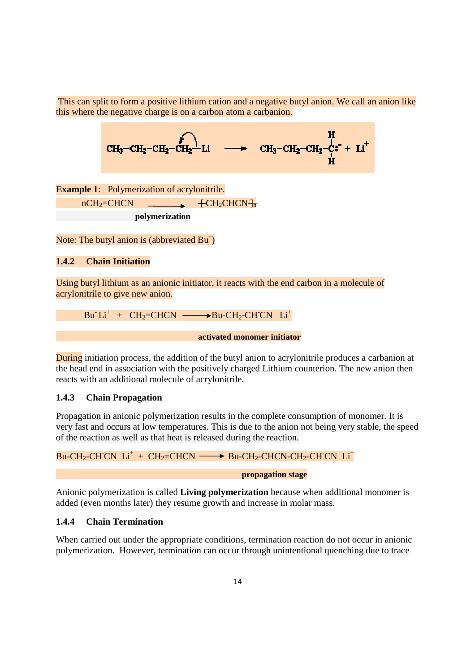This can split to form a positive lithium cation and a negative butyl anion. We call an anion like this where the negative charge is on a carbon atom a carbanion.

$$
CH_3-CH_2-CH_2-CH_2\stackrel{\frown}{\longrightarrow} Li\quad \longrightarrow\quad CH_3-CH_2-CH_2-CH_2\stackrel{\frown}{\longrightarrow} H\\ H
$$

**Example 1**: Polymerization of acrylonitrile.

 $nCH_2=CHCN$   $\leftarrow$   $\leftarrow$   $\leftarrow$   $\leftarrow$   $\leftarrow$   $CH_2CHCN + n$  **polymerization** 

Note: The butyl anion is (abbreviated Bu<sup>-</sup>)

## **1.4.2 Chain Initiation**

Using butyl lithium as an anionic initiator, it reacts with the end carbon in a molecule of acrylonitrile to give new anion.

$$
Bu^t Li^+ + CH_2=CHCN \longrightarrow Bu-CH_2-CHCN Li^+
$$

 **activated monomer initiator** 

During initiation process, the addition of the butyl anion to acrylonitrile produces a carbanion at the head end in association with the positively charged Lithium counterion. The new anion then reacts with an additional molecule of acrylonitrile.

## **1.4.3 Chain Propagation**

Propagation in anionic polymerization results in the complete consumption of monomer. It is very fast and occurs at low temperatures. This is due to the anion not being very stable, the speed of the reaction as well as that heat is released during the reaction.

Bu-CH<sub>2</sub>-CH<sup>-</sup> CH<sub>2</sub>=CHCN  $\longrightarrow$  Bu-CH<sub>2</sub>-CHCN-CH<sub>2</sub>-CH<sup>-</sup>CH<sup>+</sup>

 **propagation stage** 

Anionic polymerization is called **Living polymerization** because when additional monomer is added (even months later) they resume growth and increase in molar mass.

### **1.4.4 Chain Termination**

When carried out under the appropriate conditions, termination reaction do not occur in anionic polymerization. However, termination can occur through unintentional quenching due to trace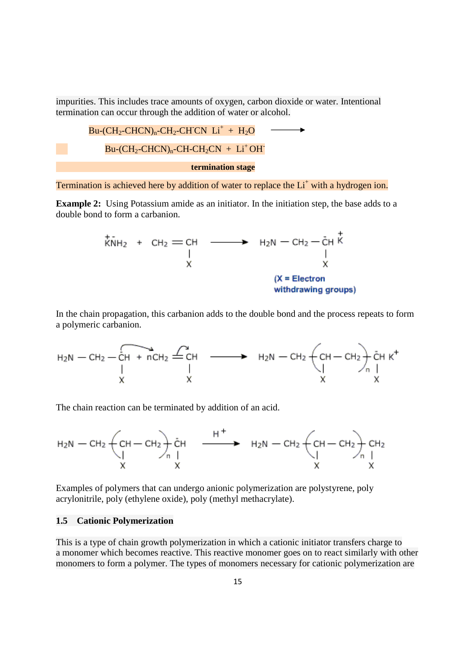impurities. This includes trace amounts of oxygen, carbon dioxide or water. Intentional termination can occur through the addition of water or alcohol.



Termination is achieved here by addition of water to replace the Li<sup>+</sup> with a hydrogen ion.

**Example 2:** Using Potassium amide as an initiator. In the initiation step, the base adds to a double bond to form a carbanion.



In the chain propagation, this carbanion adds to the double bond and the process repeats to form a polymeric carbanion.



The chain reaction can be terminated by addition of an acid.



Examples of polymers that can undergo anionic polymerization are polystyrene, poly acrylonitrile, poly (ethylene oxide), poly (methyl methacrylate).

#### **1.5 Cationic Polymerization**

This is a type of chain growth polymerization in which a cationic initiator transfers charge to a monomer which becomes reactive. This reactive monomer goes on to react similarly with other monomers to form a polymer. The types of monomers necessary for cationic polymerization are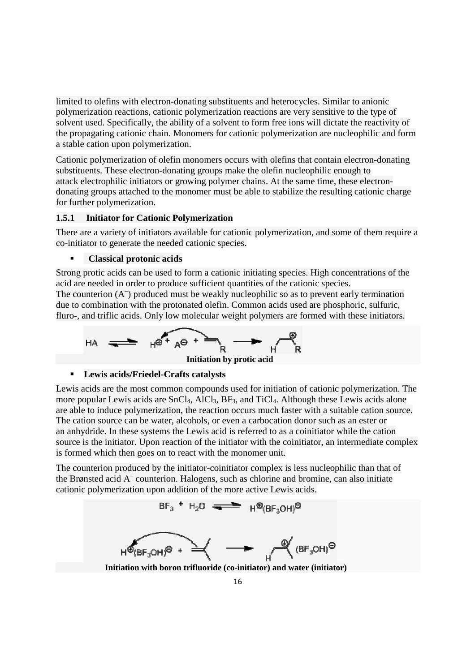limited to olefins with electron-donating substituents and heterocycles. Similar to anionic polymerization reactions, cationic polymerization reactions are very sensitive to the type of solvent used. Specifically, the ability of a solvent to form free ions will dictate the reactivity of the propagating cationic chain. Monomers for cationic polymerization are nucleophilic and form a stable cation upon polymerization.

Cationic polymerization of olefin monomers occurs with olefins that contain electron-donating substituents. These electron-donating groups make the olefin nucleophilic enough to attack electrophilic initiators or growing polymer chains. At the same time, these electrondonating groups attached to the monomer must be able to stabilize the resulting cationic charge for further polymerization.

#### **1.5.1 Initiator for Cationic Polymerization**

There are a variety of initiators available for cationic polymerization, and some of them require a co-initiator to generate the needed cationic species.

#### **Classical protonic acids**

Strong protic acids can be used to form a cationic initiating species. High concentrations of the acid are needed in order to produce sufficient quantities of the cationic species. The counterion (A<sup>-</sup>) produced must be weakly nucleophilic so as to prevent early termination due to combination with the protonated olefin. Common acids used are phosphoric, sulfuric, fluro-, and triflic acids. Only low molecular weight polymers are formed with these initiators.



#### **Lewis acids/Friedel-Crafts catalysts**

Lewis acids are the most common compounds used for initiation of cationic polymerization. The more popular Lewis acids are  $SnCl<sub>4</sub>$ ,  $AlCl<sub>3</sub>$ ,  $BF<sub>3</sub>$ , and TiCl<sub>4</sub>. Although these Lewis acids alone are able to induce polymerization, the reaction occurs much faster with a suitable cation source. The cation source can be water, alcohols, or even a carbocation donor such as an ester or an anhydride. In these systems the Lewis acid is referred to as a coinitiator while the cation source is the initiator. Upon reaction of the initiator with the coinitiator, an intermediate complex is formed which then goes on to react with the monomer unit.

The counterion produced by the initiator-coinitiator complex is less nucleophilic than that of the Brønsted acid A– counterion. Halogens, such as chlorine and bromine, can also initiate cationic polymerization upon addition of the more active Lewis acids.



**Initiation with boron trifluoride (co-initiator) and water (initiator)**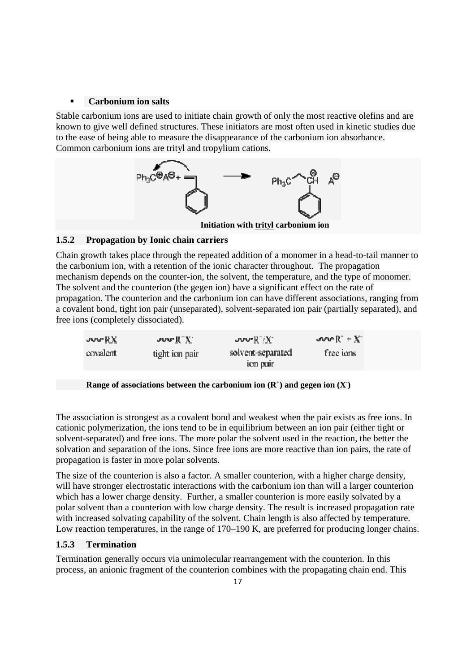#### **Carbonium ion salts**

Stable carbonium ions are used to initiate chain growth of only the most reactive olefins and are known to give well defined structures. These initiators are most often used in kinetic studies due to the ease of being able to measure the disappearance of the carbonium ion absorbance. Common carbonium ions are trityl and tropylium cations.



 **Initiation with trityl carbonium ion** 

## **1.5.2 Propagation by Ionic chain carriers**

Chain growth takes place through the repeated addition of a monomer in a head-to-tail manner to the carbonium ion, with a retention of the ionic character throughout. The propagation mechanism depends on the counter-ion, the solvent, the temperature, and the type of monomer. The solvent and the counterion (the gegen ion) have a significant effect on the rate of propagation. The counterion and the carbonium ion can have different associations, ranging from a covalent bond, tight ion pair (unseparated), solvent-separated ion pair (partially separated), and free ions (completely dissociated).

| ww RX    | $row R^2X$     | Sov(1, 1)         | $ uvw  + X$ |
|----------|----------------|-------------------|-------------|
| covalent | tight ion pair | solvent-separated | free ions   |
|          |                | ion pair          |             |

**Range of associations between the carbonium ion**  $(\mathbb{R}^+)$  **and gegen ion**  $(\mathbb{X}^+)$ 

The association is strongest as a covalent bond and weakest when the pair exists as free ions. In cationic polymerization, the ions tend to be in equilibrium between an ion pair (either tight or solvent-separated) and free ions. The more polar the solvent used in the reaction, the better the solvation and separation of the ions. Since free ions are more reactive than ion pairs, the rate of propagation is faster in more polar solvents.

The size of the counterion is also a factor. A smaller counterion, with a higher charge density, will have stronger electrostatic interactions with the carbonium ion than will a larger counterion which has a lower charge density. Further, a smaller counterion is more easily solvated by a polar solvent than a counterion with low charge density. The result is increased propagation rate with increased solvating capability of the solvent. Chain length is also affected by temperature. Low reaction temperatures, in the range of 170–190 K, are preferred for producing longer chains.

## **1.5.3 Termination**

Termination generally occurs via unimolecular rearrangement with the counterion. In this process, an anionic fragment of the counterion combines with the propagating chain end. This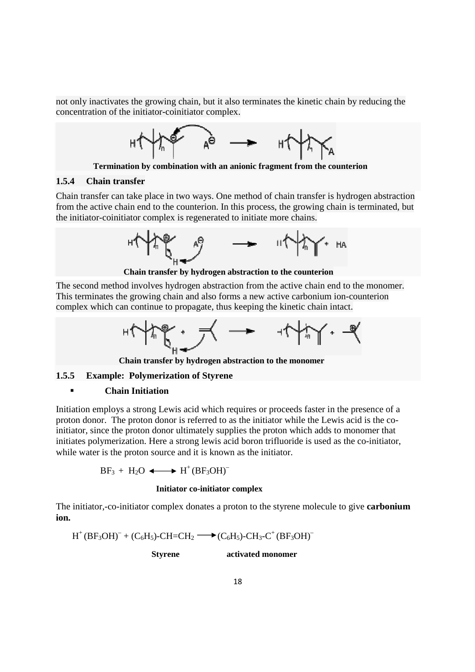not only inactivates the growing chain, but it also terminates the kinetic chain by reducing the concentration of the initiator-coinitiator complex.



**Termination by combination with an anionic fragment from the counterion** 

#### **1.5.4 Chain transfer**

Chain transfer can take place in two ways. One method of chain transfer is hydrogen abstraction from the active chain end to the counterion. In this process, the growing chain is terminated, but the initiator-coinitiator complex is regenerated to initiate more chains.



**Chain transfer by hydrogen abstraction to the counterion** 

The second method involves hydrogen abstraction from the active chain end to the monomer. This terminates the growing chain and also forms a new active carbonium ion-counterion complex which can continue to propagate, thus keeping the kinetic chain intact.



**Chain transfer by hydrogen abstraction to the monomer** 

#### **1.5.5 Example: Polymerization of Styrene**

#### **Chain Initiation**

Initiation employs a strong Lewis acid which requires or proceeds faster in the presence of a proton donor. The proton donor is referred to as the initiator while the Lewis acid is the coinitiator, since the proton donor ultimately supplies the proton which adds to monomer that initiates polymerization. Here a strong lewis acid boron trifluoride is used as the co-initiator, while water is the proton source and it is known as the initiator.

 $BF_3 + H_2O \longleftrightarrow H^+(BF_3OH)^-$ 

#### **Initiator co-initiator complex**

The initiator,-co-initiator complex donates a proton to the styrene molecule to give **carbonium ion.**

 $H^+(BF_3OH)^- + (C_6H_5)$ -CH=CH<sub>2</sub>  $\longrightarrow$  (C<sub>6</sub>H<sub>5</sub>)-CH<sub>3</sub>-C<sup>+</sup> (BF<sub>3</sub>OH)<sup>-</sup>

 **Styrene activated monomer**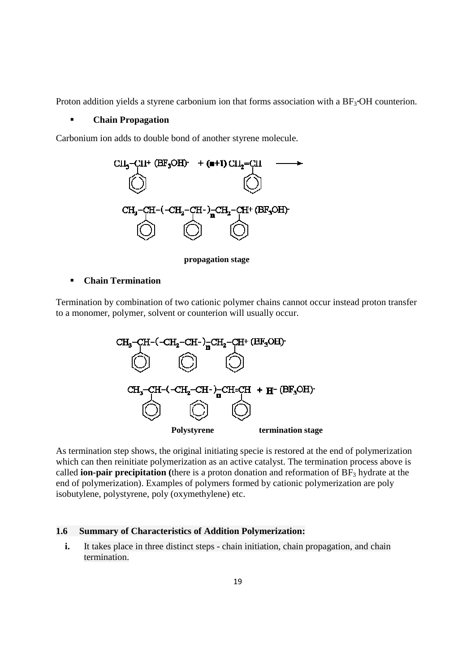Proton addition yields a styrene carbonium ion that forms association with a BF<sub>3</sub><sup>•</sup>OH counterion.

#### **Chain Propagation**

Carbonium ion adds to double bond of another styrene molecule.



 **propagation stage** 

#### **Chain Termination**

Termination by combination of two cationic polymer chains cannot occur instead proton transfer to a monomer, polymer, solvent or counterion will usually occur.



As termination step shows, the original initiating specie is restored at the end of polymerization which can then reinitiate polymerization as an active catalyst. The termination process above is called **ion-pair precipitation** (there is a proton donation and reformation of BF<sub>3</sub> hydrate at the end of polymerization). Examples of polymers formed by cationic polymerization are poly isobutylene, polystyrene, poly (oxymethylene) etc.

#### **1.6 Summary of Characteristics of Addition Polymerization:**

**i.** It takes place in three distinct steps - chain initiation, chain propagation, and chain termination.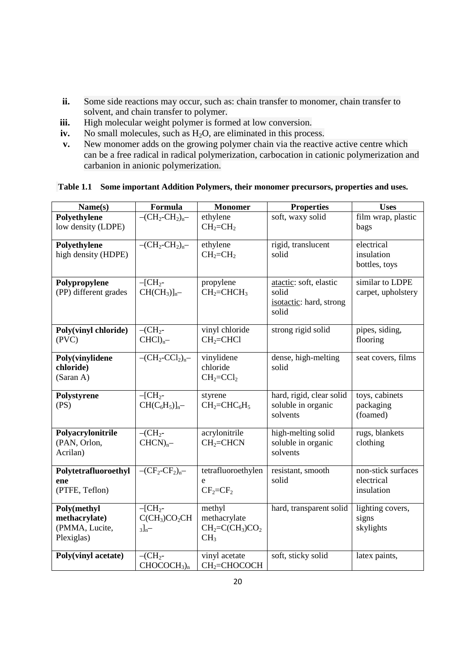- **ii.** Some side reactions may occur, such as: chain transfer to monomer, chain transfer to solvent, and chain transfer to polymer.
- **iii.** High molecular weight polymer is formed at low conversion.
- **iv.** No small molecules, such as  $H_2O$ , are eliminated in this process.
- **v.** New monomer adds on the growing polymer chain via the reactive active centre which can be a free radical in radical polymerization, carbocation in cationic polymerization and carbanion in anionic polymerization.

| Name(s)                                                      | Formula                                                       | <b>Monomer</b>                                               | <b>Properties</b>                                                   | <b>Uses</b>                                    |
|--------------------------------------------------------------|---------------------------------------------------------------|--------------------------------------------------------------|---------------------------------------------------------------------|------------------------------------------------|
| Polyethylene<br>low density (LDPE)                           | $- (CH_2-CH_2)_n-$                                            | ethylene<br>$CH_2=CH_2$                                      | soft, waxy solid                                                    | film wrap, plastic<br>bags                     |
| Polyethylene<br>high density (HDPE)                          | $-(CH_2-CH_2)n$ -                                             | ethylene<br>$CH_2=CH_2$                                      | rigid, translucent<br>solid                                         | electrical<br>insulation<br>bottles, toys      |
| Polypropylene<br>(PP) different grades                       | $-$ [CH <sub>2</sub> -<br>$CH(CH_3)]_n -$                     | propylene<br>$CH2=CHCH3$                                     | atactic: soft, elastic<br>solid<br>isotactic: hard, strong<br>solid | similar to LDPE<br>carpet, upholstery          |
| Poly(vinyl chloride)<br>(PVC)                                | $-CH_{2}$ -<br>$CHCl)_{n}$ -                                  | vinyl chloride<br>$CH2=CHCl$                                 | strong rigid solid                                                  | pipes, siding,<br>flooring                     |
| Poly(vinylidene<br>chloride)<br>(Saran A)                    | $- (CH_2-CCl_2)_n -$                                          | vinylidene<br>chloride<br>$CH_2=CCl_2$                       | dense, high-melting<br>solid                                        | seat covers, films                             |
| Polystyrene<br>(PS)                                          | $- [CH2$ -<br>$CH(C_6H_5)]_n -$                               | styrene<br>$CH2=CHC6H5$                                      | hard, rigid, clear solid<br>soluble in organic<br>solvents          | toys, cabinets<br>packaging<br>(foamed)        |
| Polyacrylonitrile<br>(PAN, Orlon,<br>Acrilan)                | $-CH_{2}$ -<br>$CHCNn$ -                                      | acrylonitrile<br>$CH2=CHCN$                                  | high-melting solid<br>soluble in organic<br>solvents                | rugs, blankets<br>clothing                     |
| Polytetrafluoroethyl<br>ene<br>(PTFE, Teflon)                | $-(CF_2-CF_2)_n-$                                             | tetrafluoroethylen<br>e<br>$CF_2 = CF_2$                     | resistant, smooth<br>solid                                          | non-stick surfaces<br>electrical<br>insulation |
| Poly(methyl<br>methacrylate)<br>(PMMA, Lucite,<br>Plexiglas) | $-ICH_2$ -<br>$C(CH_3)CO_2CH$<br>$3]n$ <sup>-</sup>           | methyl<br>methacrylate<br>$CH2=C(CH3)CO2$<br>CH <sub>3</sub> | hard, transparent solid                                             | lighting covers,<br>signs<br>skylights         |
| Poly(vinyl acetate)                                          | $-$ (CH <sub>2</sub> -<br>CHOCOCH <sub>3</sub> ) <sub>n</sub> | vinyl acetate<br>CH <sub>2</sub> =CHOCOCH                    | soft, sticky solid                                                  | latex paints,                                  |

#### **Table 1.1 Some important Addition Polymers, their monomer precursors, properties and uses.**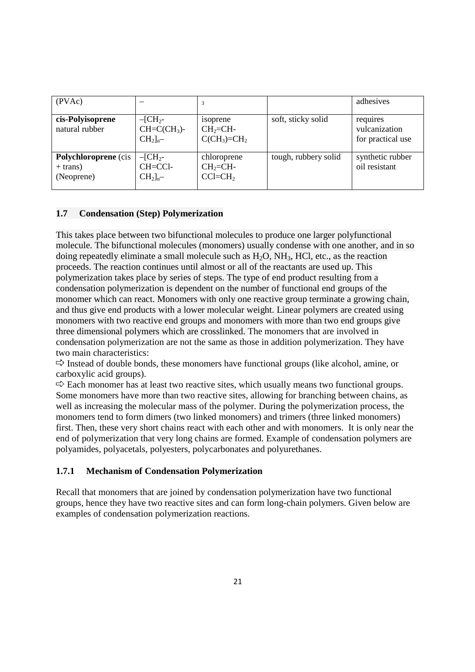| (PVAc)                                           |                                                     | 3                                       |                      | adhesives                                      |
|--------------------------------------------------|-----------------------------------------------------|-----------------------------------------|----------------------|------------------------------------------------|
| cis-Polyisoprene<br>natural rubber               | $-ICH_{2}$<br>$CH=C(CH3)$ -<br>$CH2$ <sub>n</sub> – | isoprene<br>$CH2=CH-$<br>$C(CH_3)=CH_2$ | soft, sticky solid   | requires<br>vulcanization<br>for practical use |
| Polychloroprene (cis<br>$+$ trans)<br>(Neoprene) | $-ICH_{2}$<br>CH=CCI-<br>$CH2$ <sub>n</sub> –       | chloroprene<br>$CH2=CH-$<br>$CCl=CH2$   | tough, rubbery solid | synthetic rubber<br>oil resistant              |

## **1.7 Condensation (Step) Polymerization**

This takes place between two bifunctional molecules to produce one larger polyfunctional molecule. The bifunctional molecules (monomers) usually condense with one another, and in so doing repeatedly eliminate a small molecule such as  $H_2O$ ,  $NH_3$ , HCl, etc., as the reaction proceeds. The reaction continues until almost or all of the reactants are used up. This polymerization takes place by series of steps. The type of end product resulting from a condensation polymerization is dependent on the number of functional end groups of the monomer which can react. Monomers with only one reactive group terminate a growing chain, and thus give end products with a lower molecular weight. Linear polymers are created using monomers with two reactive end groups and monomers with more than two end groups give three dimensional polymers which are crosslinked. The monomers that are involved in condensation polymerization are not the same as those in addition polymerization. They have two main characteristics:

 $\Rightarrow$  Instead of double bonds, these monomers have functional groups (like alcohol, amine, or carboxylic acid groups).

 $\Rightarrow$  Each monomer has at least two reactive sites, which usually means two functional groups. Some monomers have more than two reactive sites, allowing for branching between chains, as well as increasing the molecular mass of the polymer. During the polymerization process, the monomers tend to form dimers (two linked monomers) and trimers (three linked monomers) first. Then, these very short chains react with each other and with monomers. It is only near the end of polymerization that very long chains are formed. Example of condensation polymers are polyamides, polyacetals, polyesters, polycarbonates and polyurethanes.

## **1.7.1 Mechanism of Condensation Polymerization**

Recall that monomers that are joined by condensation polymerization have two functional groups, hence they have two reactive sites and can form long-chain polymers. Given below are examples of condensation polymerization reactions.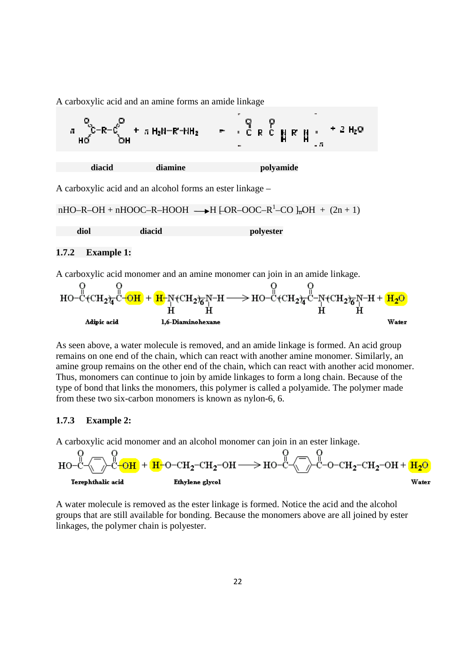A carboxylic acid and an amine forms an amide linkage



A carboxylic acid and an alcohol forms an ester linkage –

 $nHO-R-OH + nHOOC-R-HOOH \longrightarrow H [-OR-OOC-R<sup>1</sup>-CO]_nOH + (2n + 1)$ 

**diol diacid polyester**

```
1.7.2 Example 1:
```
A carboxylic acid monomer and an amine monomer can join in an amide linkage.



As seen above, a water molecule is removed, and an amide linkage is formed. An acid group remains on one end of the chain, which can react with another amine monomer. Similarly, an amine group remains on the other end of the chain, which can react with another acid monomer. Thus, monomers can continue to join by amide linkages to form a long chain. Because of the type of bond that links the monomers, this polymer is called a polyamide. The polymer made from these two six-carbon monomers is known as nylon-6, 6.

#### **1.7.3 Example 2:**

A carboxylic acid monomer and an alcohol monomer can join in an ester linkage.



A water molecule is removed as the ester linkage is formed. Notice the acid and the alcohol groups that are still available for bonding. Because the monomers above are all joined by ester linkages, the polymer chain is polyester.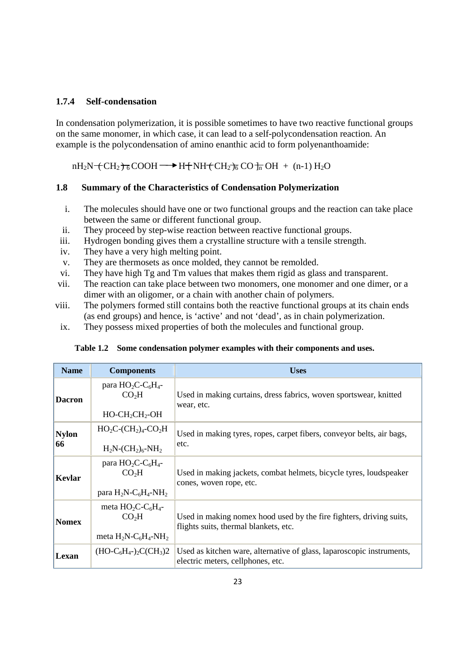### **1.7.4 Self-condensation**

In condensation polymerization, it is possible sometimes to have two reactive functional groups on the same monomer, in which case, it can lead to a self-polycondensation reaction. An example is the polycondensation of amino enanthic acid to form polyenanthoamide:

 $nH_2N+CH_2$ <sub>76</sub> COOH  $\longrightarrow H + NH + CH_2$ <sub>76</sub> CO  $\frac{1}{n}$  OH + (n-1)  $H_2O$ 

## **1.8 Summary of the Characteristics of Condensation Polymerization**

- i. The molecules should have one or two functional groups and the reaction can take place between the same or different functional group.
- ii. They proceed by step-wise reaction between reactive functional groups.
- iii. Hydrogen bonding gives them a crystalline structure with a tensile strength.
- iv. They have a very high melting point.
- v. They are thermosets as once molded, they cannot be remolded.
- vi. They have high Tg and Tm values that makes them rigid as glass and transparent.
- vii. The reaction can take place between two monomers, one monomer and one dimer, or a dimer with an oligomer, or a chain with another chain of polymers.
- viii. The polymers formed still contains both the reactive functional groups at its chain ends (as end groups) and hence, is 'active' and not 'dead', as in chain polymerization.
- ix. They possess mixed properties of both the molecules and functional group.

|  | Table 1.2 Some condensation polymer examples with their components and uses. |
|--|------------------------------------------------------------------------------|
|--|------------------------------------------------------------------------------|

| <b>Name</b>        | <b>Components</b>                                                                             | <b>Uses</b>                                                                                                  |
|--------------------|-----------------------------------------------------------------------------------------------|--------------------------------------------------------------------------------------------------------------|
| <b>Dacron</b>      | para $HO_2C$ - $C_6H_4$ -<br>CO <sub>2</sub> H<br>$HO$ -CH <sub>2</sub> CH <sub>2</sub> -OH   | Used in making curtains, dress fabrics, woven sportswear, knitted<br>wear, etc.                              |
| <b>Nylon</b><br>66 | $HO_2C$ - $CH_2$ ) <sub>4</sub> - $CO_2H$<br>$H_2N$ - $CH_2$ <sub>6</sub> - $NH_2$            | Used in making tyres, ropes, carpet fibers, conveyor belts, air bags,<br>etc.                                |
| <b>Kevlar</b>      | para $HO_2C$ - $C_6H_4$ -<br>CO <sub>2</sub> H<br>para $H_2N$ -C <sub>6</sub> $H_4$ -N $H_2$  | Used in making jackets, combat helmets, bicycle tyres, loudspeaker<br>cones, woven rope, etc.                |
| <b>Nomex</b>       | meta $HO_2C$ -C <sub>6</sub> H <sub>4</sub> -<br>CO <sub>2</sub> H<br>meta $H_2N-C_6H_4-NH_2$ | Used in making nomex hood used by the fire fighters, driving suits,<br>flights suits, thermal blankets, etc. |
| Lexan              | $(HO-C6H4-)_{2}C(CH_{3})2$                                                                    | Used as kitchen ware, alternative of glass, laparoscopic instruments,<br>electric meters, cellphones, etc.   |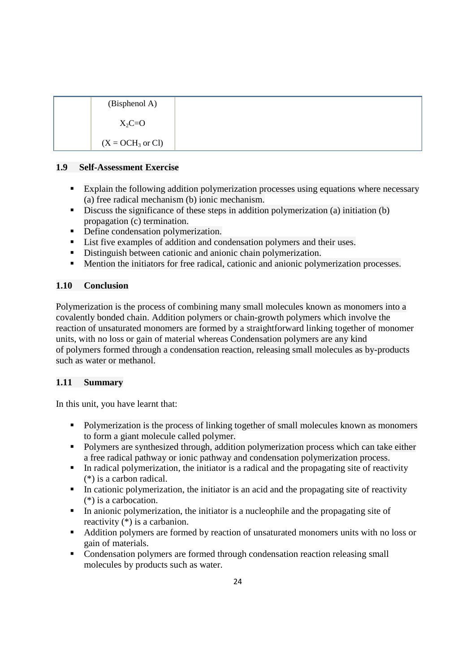| (Bisphenol A)      |  |
|--------------------|--|
| $X_2C=O$           |  |
| $(X = OCH3$ or Cl) |  |

### **1.9 Self-Assessment Exercise**

- Explain the following addition polymerization processes using equations where necessary (a) free radical mechanism (b) ionic mechanism.
- Discuss the significance of these steps in addition polymerization (a) initiation (b) propagation (c) termination.
- Define condensation polymerization.
- List five examples of addition and condensation polymers and their uses.
- Distinguish between cationic and anionic chain polymerization.
- Mention the initiators for free radical, cationic and anionic polymerization processes.

## **1.10 Conclusion**

Polymerization is the process of combining many small molecules known as monomers into a covalently bonded chain. Addition polymers or chain-growth polymers which involve the reaction of unsaturated monomers are formed by a straightforward linking together of monomer units, with no loss or gain of material whereas Condensation polymers are any kind of polymers formed through a condensation reaction, releasing small molecules as by-products such as water or methanol.

## **1.11 Summary**

In this unit, you have learnt that:

- Polymerization is the process of linking together of small molecules known as monomers to form a giant molecule called polymer.
- **Polymers are synthesized through, addition polymerization process which can take either** a free radical pathway or ionic pathway and condensation polymerization process.
- In radical polymerization, the initiator is a radical and the propagating site of reactivity (\*) is a carbon radical.
- In cationic polymerization, the initiator is an acid and the propagating site of reactivity (\*) is a carbocation.
- $\blacksquare$  In anionic polymerization, the initiator is a nucleophile and the propagating site of reactivity (\*) is a carbanion.
- Addition polymers are formed by reaction of unsaturated monomers units with no loss or gain of materials.
- Condensation polymers are formed through condensation reaction releasing small molecules by products such as water.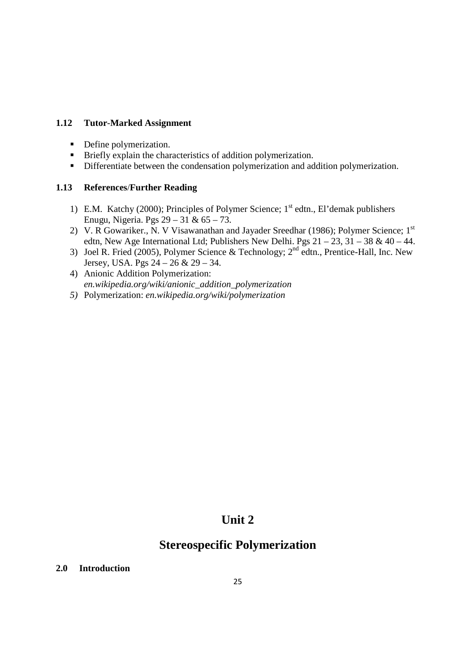#### **1.12 Tutor**-**Marked Assignment**

- Define polymerization.
- Briefly explain the characteristics of addition polymerization.
- Differentiate between the condensation polymerization and addition polymerization.

#### **1.13 References**/**Further Reading**

- 1) E.M. Katchy (2000); Principles of Polymer Science; 1<sup>st</sup> edtn., El'demak publishers Enugu, Nigeria. Pgs 29 – 31 & 65 – 73.
- 2) V. R Gowariker., N. V Visawanathan and Jayader Sreedhar (1986); Polymer Science; 1st edtn, New Age International Ltd; Publishers New Delhi. Pgs  $21 - 23$ ,  $31 - 38$  &  $40 - 44$ .
- 3) Joel R. Fried (2005), Polymer Science & Technology;  $2<sup>nd</sup>$  edtn., Prentice-Hall, Inc. New Jersey, USA. Pgs 24 – 26 & 29 – 34.
- 4) Anionic Addition Polymerization: *en.wikipedia.org/wiki/anionic\_addition\_polymerization*
- *5)* Polymerization: *en.wikipedia.org/wiki/polymerization*

## **Unit 2**

## **Stereospecific Polymerization**

**2.0 Introduction**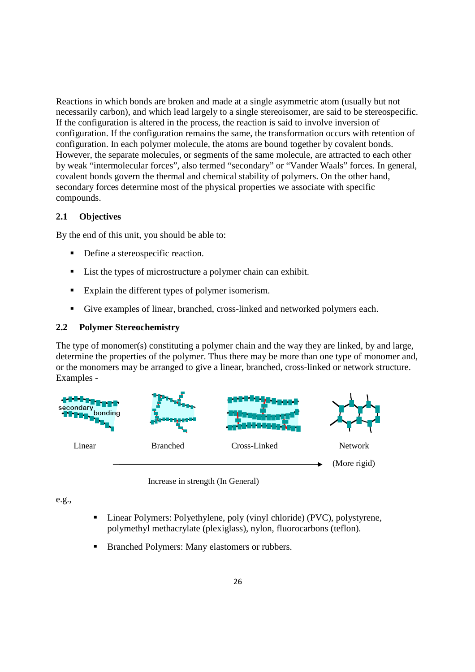Reactions in which bonds are broken and made at a single asymmetric atom (usually but not necessarily carbon), and which lead largely to a single stereoisomer, are said to be stereospecific. If the configuration is altered in the process, the reaction is said to involve inversion of configuration. If the configuration remains the same, the transformation occurs with retention of configuration. In each polymer molecule, the atoms are bound together by covalent bonds. However, the separate molecules, or segments of the same molecule, are attracted to each other by weak "intermolecular forces", also termed "secondary" or "Vander Waals" forces. In general, covalent bonds govern the thermal and chemical stability of polymers. On the other hand, secondary forces determine most of the physical properties we associate with specific compounds.

## **2.1 Objectives**

By the end of this unit, you should be able to:

- Define a stereospecific reaction.
- **List the types of microstructure a polymer chain can exhibit.**
- Explain the different types of polymer isomerism.
- Give examples of linear, branched, cross-linked and networked polymers each.

## **2.2 Polymer Stereochemistry**

The type of monomer(s) constituting a polymer chain and the way they are linked, by and large, determine the properties of the polymer. Thus there may be more than one type of monomer and, or the monomers may be arranged to give a linear, branched, cross-linked or network structure. Examples -



Increase in strength (In General)

e.g.,

- Linear Polymers: Polyethylene, poly (vinyl chloride) (PVC), polystyrene, polymethyl methacrylate (plexiglass), nylon, fluorocarbons (teflon).
- Branched Polymers: Many elastomers or rubbers.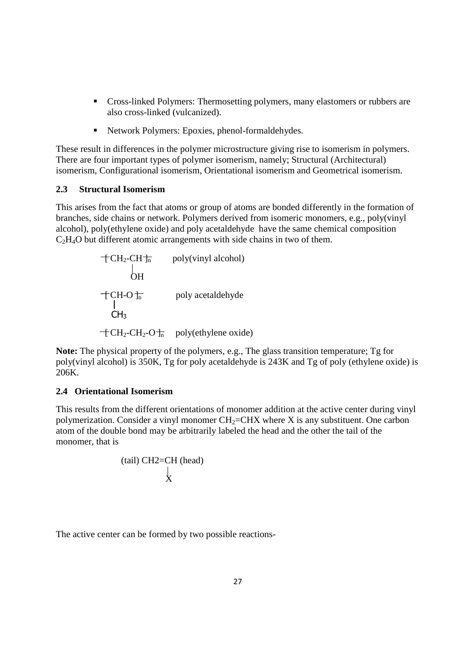- Cross-linked Polymers: Thermosetting polymers, many elastomers or rubbers are also cross-linked (vulcanized).
- Network Polymers: Epoxies, phenol-formaldehydes.

These result in differences in the polymer microstructure giving rise to isomerism in polymers. There are four important types of polymer isomerism, namely; Structural (Architectural) isomerism, Configurational isomerism, Orientational isomerism and Geometrical isomerism.

### **2.3 Structural Isomerism**

This arises from the fact that atoms or group of atoms are bonded differently in the formation of branches, side chains or network. Polymers derived from isomeric monomers, e.g., poly(vinyl alcohol), poly(ethylene oxide) and poly acetaldehyde have the same chemical composition C2H4O but different atomic arrangements with side chains in two of them.

$$
\begin{array}{ccc}\n+CH_2-CH_{\overline{1n}} & \text{poly}(vinyl \text{ alcohol}) \\
\downarrow & \\
\hline\nCH_2 & \text{poly} \text{acetaldehyde} \\
\downarrow & \\
\hline\nCH_3 & \text{poly}(ethylene \text{oxide})\n\end{array}
$$

**Note:** The physical property of the polymers, e.g., The glass transition temperature; Tg for poly(vinyl alcohol) is 350K, Tg for poly acetaldehyde is 243K and Tg of poly (ethylene oxide) is 206K.

## **2.4 Orientational Isomerism**

This results from the different orientations of monomer addition at the active center during vinyl polymerization. Consider a vinyl monomer  $CH_2=CHX$  where X is any substituent. One carbon atom of the double bond may be arbitrarily labeled the head and the other the tail of the monomer, that is

$$
\begin{array}{c}\n\text{(tail) CH2=CH (head)}\\
\downarrow \\
X\n\end{array}
$$

The active center can be formed by two possible reactions-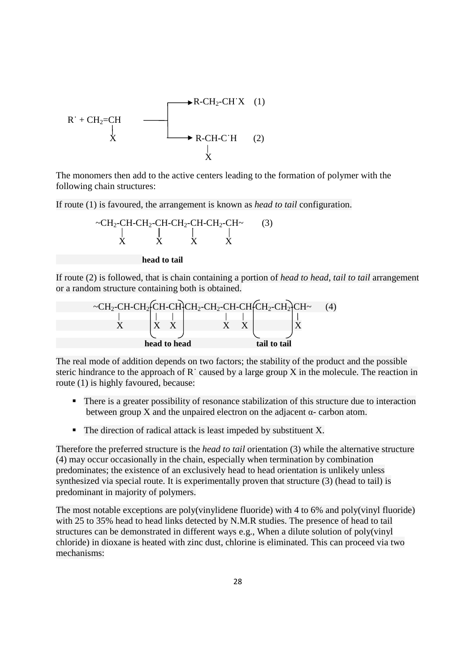

The monomers then add to the active centers leading to the formation of polymer with the following chain structures:

If route (1) is favoured, the arrangement is known as *head to tail* configuration.



If route (2) is followed, that is chain containing a portion of *head to head*, *tail to tail* arrangement or a random structure containing both is obtained.



The real mode of addition depends on two factors; the stability of the product and the possible steric hindrance to the approach of  $R<sup>+</sup>$  caused by a large group X in the molecule. The reaction in route (1) is highly favoured, because:

- There is a greater possibility of resonance stabilization of this structure due to interaction between group X and the unpaired electron on the adjacent  $\alpha$ - carbon atom.
- The direction of radical attack is least impeded by substituent X.

Therefore the preferred structure is the *head to tail* orientation (3) while the alternative structure (4) may occur occasionally in the chain, especially when termination by combination predominates; the existence of an exclusively head to head orientation is unlikely unless synthesized via special route. It is experimentally proven that structure (3) (head to tail) is predominant in majority of polymers.

The most notable exceptions are poly(vinylidene fluoride) with 4 to 6% and poly(vinyl fluoride) with 25 to 35% head to head links detected by N.M.R studies. The presence of head to tail structures can be demonstrated in different ways e.g., When a dilute solution of poly(vinyl chloride) in dioxane is heated with zinc dust, chlorine is eliminated. This can proceed via two mechanisms: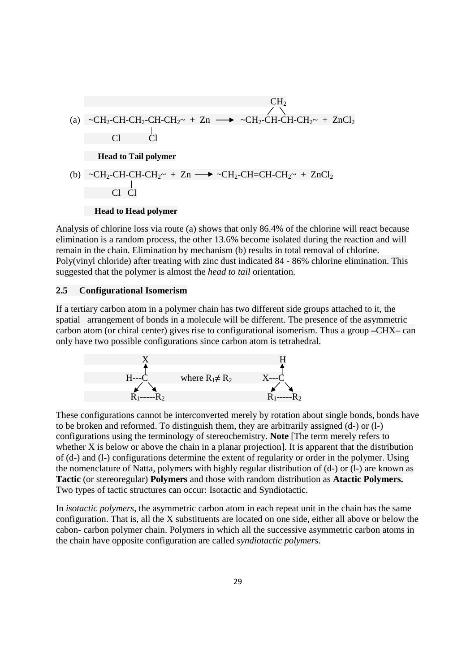(a) 
$$
\sim
$$
CH<sub>2</sub>-CH-CH<sub>2</sub>-CH-CH<sub>2</sub> $\sim$  H<sub>2</sub>  $\sim$  CH<sub>2</sub>-CH-CH<sub>2</sub> $\sim$  H<sub>2</sub>  $\sim$  CH<sub>2</sub>-CH-CH<sub>2</sub> $\sim$  H<sub>2</sub>  $\sim$  CH<sub>2</sub>-CH-CH<sub>2</sub> $\sim$  CH<sub>2</sub>-CH-CH-CH<sub>2</sub> $\sim$  CH<sub>2</sub>-CH-CH-CH<sub>2</sub> $\sim$  CH<sub>2</sub>-CH-CH-CH<sub>2</sub> $\sim$  CH<sub>2</sub>-CH-CH-CH<sub>2</sub> $\sim$  H<sub>2</sub>-CH-CH<sub>2</sub> $\sim$  CH<sub>2</sub>-CH-CH<sub>2</sub> $\sim$  CH<sub>2</sub>-CH-CH<sub>2</sub> $\sim$  CH<sub>2</sub>-CH-CH<sub>2</sub> $\sim$  CH<sub>2</sub>-CH-CH<sub>2</sub> $\sim$  CH<sub>2</sub>-CH-CH<sub>2</sub> $\sim$  CH<sub>2</sub>-CH-CH<sub>2</sub> $\sim$  CH<sub>2</sub>-CH<sub>2</sub> $\sim$  CH<sub>2</sub>-CH<sub>2</sub> $\sim$  CH<sub>2</sub>-CH<sub>2</sub> $\sim$  CH<sub>2</sub>-CH<sub>2</sub> $\sim$  CH<sub>2</sub>-CH<sub>2</sub> $\sim$  CH<sub>2</sub>-CH<sub>2</sub> $\sim$  CH<sub>2</sub>-CH<sub>2</sub> $\sim$  CH<sub>2</sub>-CH<sub>2</sub> $\sim$  CH<sub>2</sub>-CH<sub>2</sub> $\sim$  CH<sub>2</sub>-CH<sub>2</sub> $\sim$  CH<sub>2</sub>-CH<sub>2</sub> $\sim$ 

 **Head to Head polymer** 

Analysis of chlorine loss via route (a) shows that only 86.4% of the chlorine will react because elimination is a random process, the other 13.6% become isolated during the reaction and will remain in the chain. Elimination by mechanism (b) results in total removal of chlorine. Poly(vinyl chloride) after treating with zinc dust indicated 84 - 86% chlorine elimination. This suggested that the polymer is almost the *head to tail* orientation.

#### **2.5 Configurational Isomerism**

If a tertiary carbon atom in a polymer chain has two different side groups attached to it, the spatial arrangement of bonds in a molecule will be different. The presence of the asymmetric carbon atom (or chiral center) gives rise to configurational isomerism. Thus a group **–**CHX– can only have two possible configurations since carbon atom is tetrahedral.



These configurations cannot be interconverted merely by rotation about single bonds, bonds have to be broken and reformed. To distinguish them, they are arbitrarily assigned (d-) or (l-) configurations using the terminology of stereochemistry. **Note** [The term merely refers to whether X is below or above the chain in a planar projection. It is apparent that the distribution of (d-) and (l-) configurations determine the extent of regularity or order in the polymer. Using the nomenclature of Natta, polymers with highly regular distribution of (d-) or (l-) are known as **Tactic** (or stereoregular) **Polymers** and those with random distribution as **Atactic Polymers.**  Two types of tactic structures can occur: Isotactic and Syndiotactic.

In *isotactic polymers*, the asymmetric carbon atom in each repeat unit in the chain has the same configuration. That is, all the X substituents are located on one side, either all above or below the cabon- carbon polymer chain. Polymers in which all the successive asymmetric carbon atoms in the chain have opposite configuration are called *syndiotactic polymers.*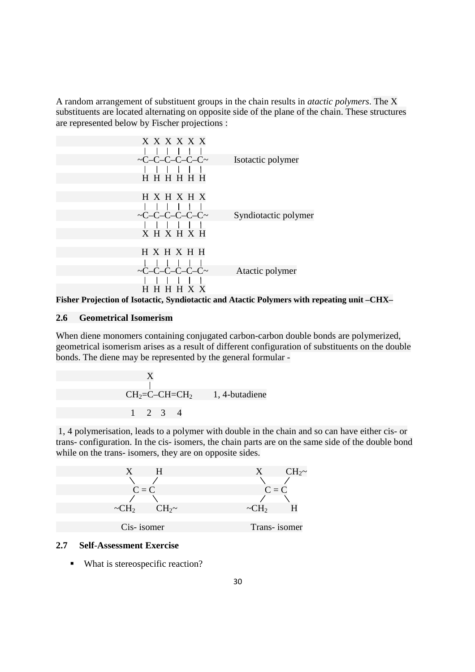A random arrangement of substituent groups in the chain results in *atactic polymers*. The X substituents are located alternating on opposite side of the plane of the chain. These structures are represented below by Fischer projections :





#### **2.6 Geometrical Isomerism**

When diene monomers containing conjugated carbon-carbon double bonds are polymerized, geometrical isomerism arises as a result of different configuration of substituents on the double bonds. The diene may be represented by the general formular -

$$
\begin{array}{c}\nX \\
| \\
CH_2=C-CH=CH_2 \\
1, 4-butadiene \\
\end{array}
$$

 1, 4 polymerisation, leads to a polymer with double in the chain and so can have either cis- or trans- configuration. In the cis- isomers, the chain parts are on the same side of the double bond while on the trans- isomers, they are on opposite sides.



#### **2.7 Self**-**Assessment Exercise**

■ What is stereospecific reaction?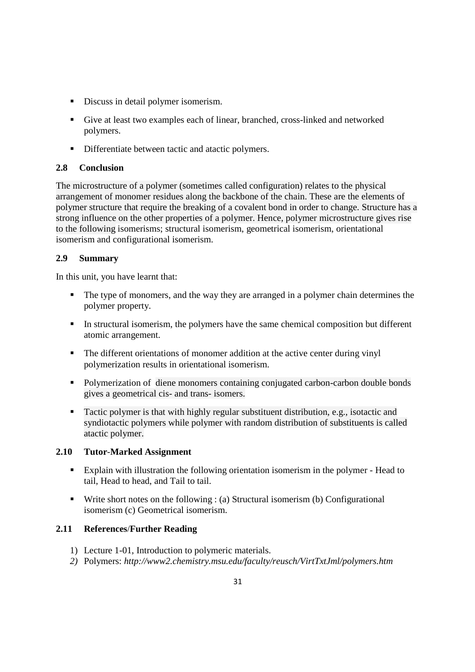- Discuss in detail polymer isomerism.
- Give at least two examples each of linear, branched, cross-linked and networked polymers.
- Differentiate between tactic and atactic polymers.

## **2.8 Conclusion**

The microstructure of a polymer (sometimes called configuration) relates to the physical arrangement of monomer residues along the backbone of the chain. These are the elements of polymer structure that require the breaking of a covalent bond in order to change. Structure has a strong influence on the other properties of a polymer. Hence, polymer microstructure gives rise to the following isomerisms; structural isomerism, geometrical isomerism, orientational isomerism and configurational isomerism.

## **2.9 Summary**

In this unit, you have learnt that:

- The type of monomers, and the way they are arranged in a polymer chain determines the polymer property.
- In structural isomerism, the polymers have the same chemical composition but different atomic arrangement.
- The different orientations of monomer addition at the active center during vinyl polymerization results in orientational isomerism.
- Polymerization of diene monomers containing conjugated carbon-carbon double bonds gives a geometrical cis- and trans- isomers.
- Tactic polymer is that with highly regular substituent distribution, e.g., isotactic and syndiotactic polymers while polymer with random distribution of substituents is called atactic polymer.

## **2.10 Tutor**-**Marked Assignment**

- Explain with illustration the following orientation isomerism in the polymer Head to tail, Head to head, and Tail to tail.
- Write short notes on the following : (a) Structural isomerism (b) Configurational isomerism (c) Geometrical isomerism.

## **2.11 References**/**Further Reading**

- 1) Lecture 1-01, Introduction to polymeric materials.
- *2)* Polymers: *http://www2.chemistry.msu.edu/faculty/reusch/VirtTxtJml/polymers.htm*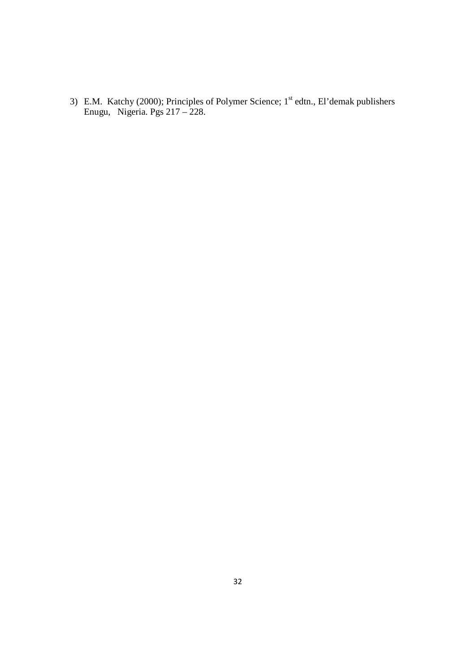3) E.M. Katchy (2000); Principles of Polymer Science;  $1<sup>st</sup>$  edtn., El'demak publishers Enugu, Nigeria. Pgs 217 – 228.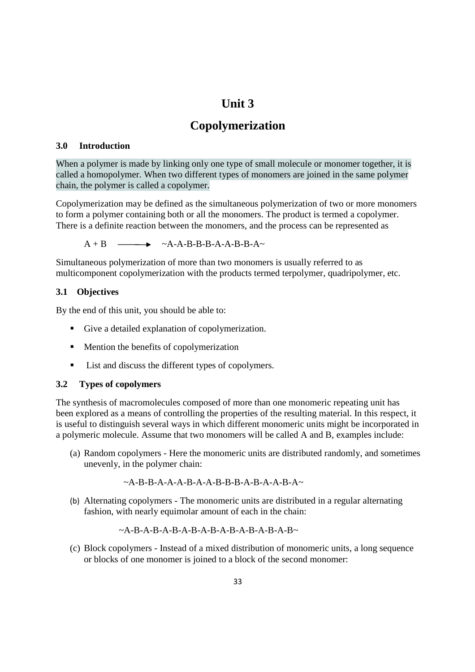## **Unit 3**

## **Copolymerization**

#### **3.0 Introduction**

When a polymer is made by linking only one type of small molecule or monomer together, it is called a homopolymer. When two different types of monomers are joined in the same polymer chain, the polymer is called a copolymer.

Copolymerization may be defined as the simultaneous polymerization of two or more monomers to form a polymer containing both or all the monomers. The product is termed a copolymer. There is a definite reaction between the monomers, and the process can be represented as

 $A + B \longrightarrow \sim A - A - B - B - A - A - B - B - A -$ 

Simultaneous polymerization of more than two monomers is usually referred to as multicomponent copolymerization with the products termed terpolymer, quadripolymer, etc.

### **3.1 Objectives**

By the end of this unit, you should be able to:

- Give a detailed explanation of copolymerization.
- Mention the benefits of copolymerization
- List and discuss the different types of copolymers.

#### **3.2 Types of copolymers**

The synthesis of macromolecules composed of more than one monomeric repeating unit has been explored as a means of controlling the properties of the resulting material. In this respect, it is useful to distinguish several ways in which different monomeric units might be incorporated in a polymeric molecule. Assume that two monomers will be called A and B, examples include:

(a) Random copolymers - Here the monomeric units are distributed randomly, and sometimes unevenly, in the polymer chain:

 $\sim$ A-B-B-A-A-A-B-A-A-B-B-B-A-B-A-A-B-A $\sim$ 

(b) Alternating copolymers - The monomeric units are distributed in a regular alternating fashion, with nearly equimolar amount of each in the chain:

$$
\verb!^\lambda A-B-A-B-A-B-A-B-A-B-A-B-A-B-A-B-A-B-\newline
$$

(c) Block copolymers - Instead of a mixed distribution of monomeric units, a long sequence or blocks of one monomer is joined to a block of the second monomer: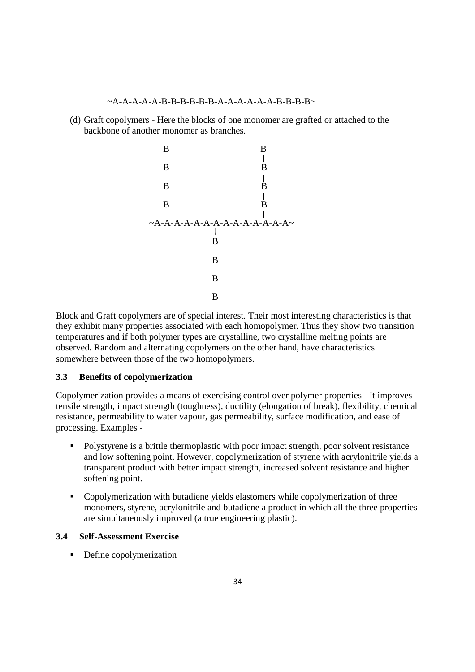$\sim$ A-A-A-A-A-B-B-B-B-B-B-A-A-A-A-A-A-B-B-B-B $\sim$ 

(d) Graft copolymers - Here the blocks of one monomer are grafted or attached to the backbone of another monomer as branches.



Block and Graft copolymers are of special interest. Their most interesting characteristics is that they exhibit many properties associated with each homopolymer. Thus they show two transition temperatures and if both polymer types are crystalline, two crystalline melting points are observed. Random and alternating copolymers on the other hand, have characteristics somewhere between those of the two homopolymers.

#### **3.3 Benefits of copolymerization**

Copolymerization provides a means of exercising control over polymer properties - It improves tensile strength, impact strength (toughness), ductility (elongation of break), flexibility, chemical resistance, permeability to water vapour, gas permeability, surface modification, and ease of processing. Examples -

- Polystyrene is a brittle thermoplastic with poor impact strength, poor solvent resistance and low softening point. However, copolymerization of styrene with acrylonitrile yields a transparent product with better impact strength, increased solvent resistance and higher softening point.
- Copolymerization with butadiene yields elastomers while copolymerization of three monomers, styrene, acrylonitrile and butadiene a product in which all the three properties are simultaneously improved (a true engineering plastic).

## **3.4 Self**-**Assessment Exercise**

• Define copolymerization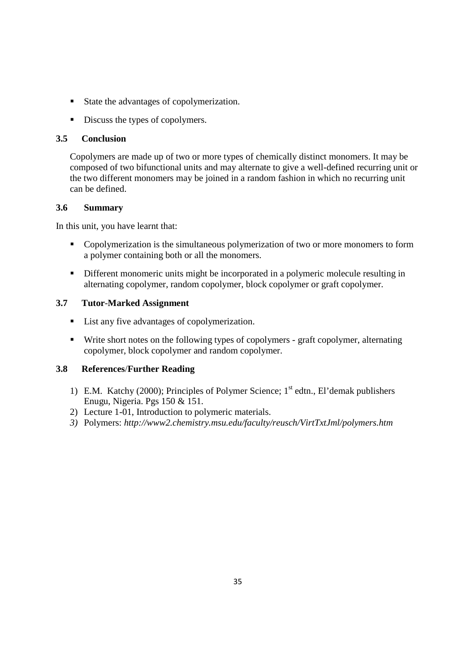- State the advantages of copolymerization.
- Discuss the types of copolymers.

## **3.5 Conclusion**

Copolymers are made up of two or more types of chemically distinct monomers. It may be composed of two bifunctional units and may alternate to give a well-defined recurring unit or the two different monomers may be joined in a random fashion in which no recurring unit can be defined.

## **3.6 Summary**

In this unit, you have learnt that:

- Copolymerization is the simultaneous polymerization of two or more monomers to form a polymer containing both or all the monomers.
- Different monomeric units might be incorporated in a polymeric molecule resulting in alternating copolymer, random copolymer, block copolymer or graft copolymer.

## **3.7 Tutor**-**Marked Assignment**

- List any five advantages of copolymerization.
- Write short notes on the following types of copolymers graft copolymer, alternating copolymer, block copolymer and random copolymer.

## **3.8 References**/**Further Reading**

- 1) E.M. Katchy (2000); Principles of Polymer Science; 1<sup>st</sup> edtn., El'demak publishers Enugu, Nigeria. Pgs 150 & 151.
- 2) Lecture 1-01, Introduction to polymeric materials.
- *3)* Polymers: *http://www2.chemistry.msu.edu/faculty/reusch/VirtTxtJml/polymers.htm*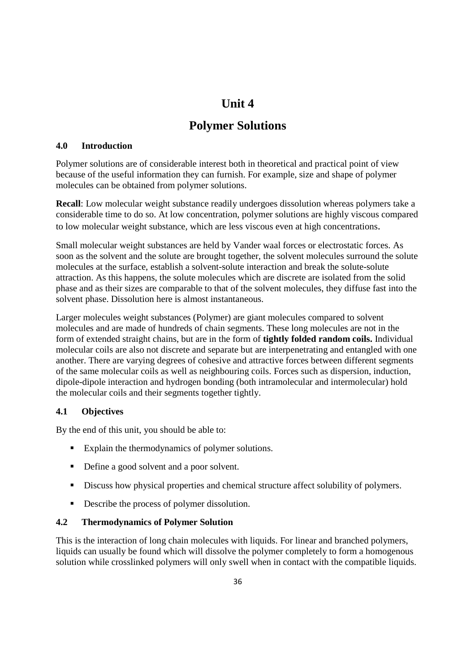## **Unit 4**

## **Polymer Solutions**

## **4.0 Introduction**

Polymer solutions are of considerable interest both in theoretical and practical point of view because of the useful information they can furnish. For example, size and shape of polymer molecules can be obtained from polymer solutions.

**Recall**: Low molecular weight substance readily undergoes dissolution whereas polymers take a considerable time to do so. At low concentration, polymer solutions are highly viscous compared to low molecular weight substance, which are less viscous even at high concentrations.

Small molecular weight substances are held by Vander waal forces or electrostatic forces. As soon as the solvent and the solute are brought together, the solvent molecules surround the solute molecules at the surface, establish a solvent-solute interaction and break the solute-solute attraction. As this happens, the solute molecules which are discrete are isolated from the solid phase and as their sizes are comparable to that of the solvent molecules, they diffuse fast into the solvent phase. Dissolution here is almost instantaneous.

Larger molecules weight substances (Polymer) are giant molecules compared to solvent molecules and are made of hundreds of chain segments. These long molecules are not in the form of extended straight chains, but are in the form of **tightly folded random coils.** Individual molecular coils are also not discrete and separate but are interpenetrating and entangled with one another. There are varying degrees of cohesive and attractive forces between different segments of the same molecular coils as well as neighbouring coils. Forces such as dispersion, induction, dipole-dipole interaction and hydrogen bonding (both intramolecular and intermolecular) hold the molecular coils and their segments together tightly.

## **4.1 Objectives**

By the end of this unit, you should be able to:

- Explain the thermodynamics of polymer solutions.
- Define a good solvent and a poor solvent.
- Discuss how physical properties and chemical structure affect solubility of polymers.
- Describe the process of polymer dissolution.

## **4.2 Thermodynamics of Polymer Solution**

This is the interaction of long chain molecules with liquids. For linear and branched polymers, liquids can usually be found which will dissolve the polymer completely to form a homogenous solution while crosslinked polymers will only swell when in contact with the compatible liquids.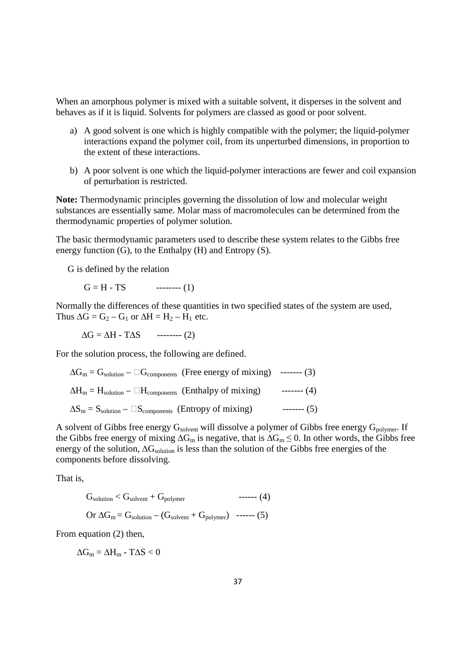When an amorphous polymer is mixed with a suitable solvent, it disperses in the solvent and behaves as if it is liquid. Solvents for polymers are classed as good or poor solvent.

- a) A good solvent is one which is highly compatible with the polymer; the liquid-polymer interactions expand the polymer coil, from its unperturbed dimensions, in proportion to the extent of these interactions.
- b) A poor solvent is one which the liquid-polymer interactions are fewer and coil expansion of perturbation is restricted.

**Note:** Thermodynamic principles governing the dissolution of low and molecular weight substances are essentially same. Molar mass of macromolecules can be determined from the thermodynamic properties of polymer solution.

The basic thermodynamic parameters used to describe these system relates to the Gibbs free energy function (G), to the Enthalpy (H) and Entropy (S).

G is defined by the relation

 $G = H - TS$  -------- (1)

Normally the differences of these quantities in two specified states of the system are used, Thus  $\Delta G = G_2 - G_1$  or  $\Delta H = H_2 - H_1$  etc.

 $\Delta G = \Delta H - T \Delta S$  -------- (2)

For the solution process, the following are defined.

$$
\Delta G_{m} = G_{solution} - \Box G_{components} \text{ (Free energy of mixing)} \quad \text{---} \quad (3)
$$
\n
$$
\Delta H_{m} = H_{solution} - \Box H_{components} \text{ (Enthalpy of mixing)} \quad \text{---} \quad (4)
$$
\n
$$
\Delta S_{m} = S_{solution} - \Box S_{components} \text{ (Entropy of mixing)} \quad \text{---} \quad (5)
$$

A solvent of Gibbs free energy  $G_{\text{solvent}}$  will dissolve a polymer of Gibbs free energy  $G_{\text{polymer}}$ . If the Gibbs free energy of mixing  $\Delta G_m$  is negative, that is  $\Delta G_m \leq 0$ . In other words, the Gibbs free energy of the solution, ∆G<sub>solution</sub> is less than the solution of the Gibbs free energies of the components before dissolving.

That is,

$$
G_{\text{solution}} < G_{\text{solvent}} + G_{\text{polymer}} \qquad \qquad \text{---} \tag{4}
$$
\n
$$
\text{Or } \Delta G_{\text{m}} = G_{\text{solution}} - (G_{\text{solvent}} + G_{\text{polymer}}) \qquad \text{---} \tag{5}
$$

From equation (2) then,

 $\Delta G_m = \Delta H_m$  - T $\Delta S < 0$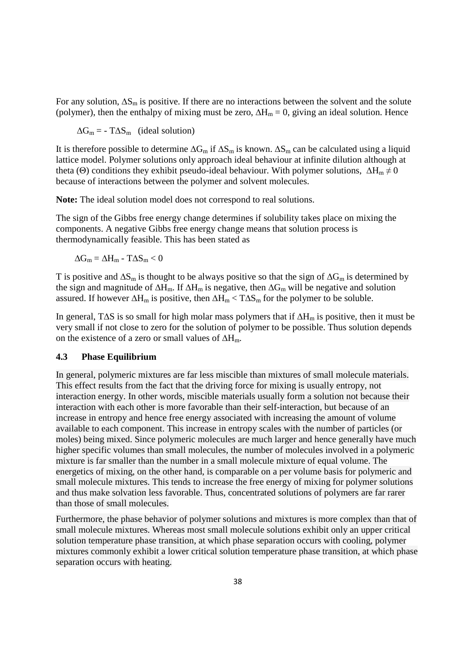For any solution,  $\Delta S_m$  is positive. If there are no interactions between the solvent and the solute (polymer), then the enthalpy of mixing must be zero,  $\Delta H_m = 0$ , giving an ideal solution. Hence

 $\Delta G_m = -T \Delta S_m$  (ideal solution)

It is therefore possible to determine  $\Delta G_m$  if  $\Delta S_m$  is known.  $\Delta S_m$  can be calculated using a liquid lattice model. Polymer solutions only approach ideal behaviour at infinite dilution although at theta ( $\Theta$ ) conditions they exhibit pseudo-ideal behaviour. With polymer solutions,  $\Delta H_m \neq 0$ because of interactions between the polymer and solvent molecules.

**Note:** The ideal solution model does not correspond to real solutions.

The sign of the Gibbs free energy change determines if solubility takes place on mixing the components. A negative Gibbs free energy change means that solution process is thermodynamically feasible. This has been stated as

 $\Delta G_m = \Delta H_m - T \Delta S_m < 0$ 

T is positive and  $\Delta S_m$  is thought to be always positive so that the sign of  $\Delta G_m$  is determined by the sign and magnitude of  $\Delta H_m$ . If  $\Delta H_m$  is negative, then  $\Delta G_m$  will be negative and solution assured. If however  $\Delta H_m$  is positive, then  $\Delta H_m < T \Delta S_m$  for the polymer to be soluble.

In general, T∆S is so small for high molar mass polymers that if  $\Delta H_m$  is positive, then it must be very small if not close to zero for the solution of polymer to be possible. Thus solution depends on the existence of a zero or small values of  $\Delta H_m$ .

#### **4.3 Phase Equilibrium**

In general, polymeric mixtures are far less miscible than mixtures of small molecule materials. This effect results from the fact that the driving force for mixing is usually entropy, not interaction energy. In other words, miscible materials usually form a solution not because their interaction with each other is more favorable than their self-interaction, but because of an increase in entropy and hence free energy associated with increasing the amount of volume available to each component. This increase in entropy scales with the number of particles (or moles) being mixed. Since polymeric molecules are much larger and hence generally have much higher specific volumes than small molecules, the number of molecules involved in a polymeric mixture is far smaller than the number in a small molecule mixture of equal volume. The energetics of mixing, on the other hand, is comparable on a per volume basis for polymeric and small molecule mixtures. This tends to increase the free energy of mixing for polymer solutions and thus make solvation less favorable. Thus, concentrated solutions of polymers are far rarer than those of small molecules.

Furthermore, the phase behavior of polymer solutions and mixtures is more complex than that of small molecule mixtures. Whereas most small molecule solutions exhibit only an upper critical solution temperature phase transition, at which phase separation occurs with cooling, polymer mixtures commonly exhibit a lower critical solution temperature phase transition, at which phase separation occurs with heating.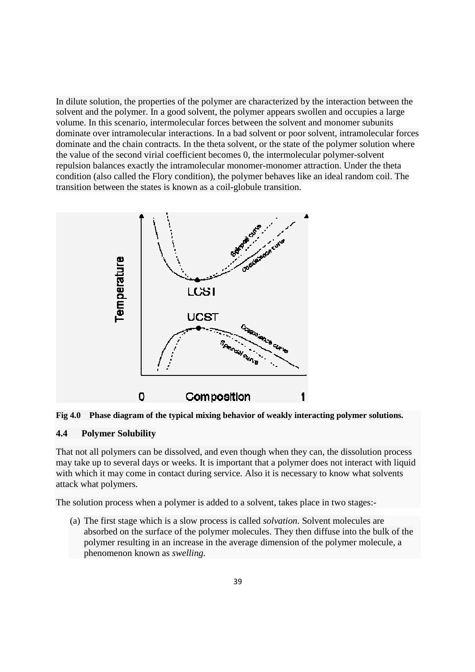In dilute solution, the properties of the polymer are characterized by the interaction between the solvent and the polymer. In a good solvent, the polymer appears swollen and occupies a large volume. In this scenario, intermolecular forces between the solvent and monomer subunits dominate over intramolecular interactions. In a bad solvent or poor solvent, intramolecular forces dominate and the chain contracts. In the theta solvent, or the state of the polymer solution where the value of the second virial coefficient becomes 0, the intermolecular polymer-solvent repulsion balances exactly the intramolecular monomer-monomer attraction. Under the theta condition (also called the Flory condition), the polymer behaves like an ideal random coil. The transition between the states is known as a coil-globule transition.





## **4.4 Polymer Solubility**

That not all polymers can be dissolved, and even though when they can, the dissolution process may take up to several days or weeks. It is important that a polymer does not interact with liquid with which it may come in contact during service. Also it is necessary to know what solvents attack what polymers.

The solution process when a polymer is added to a solvent, takes place in two stages:-

(a) The first stage which is a slow process is called *solvation.* Solvent molecules are absorbed on the surface of the polymer molecules. They then diffuse into the bulk of the polymer resulting in an increase in the average dimension of the polymer molecule, a phenomenon known as *swelling.*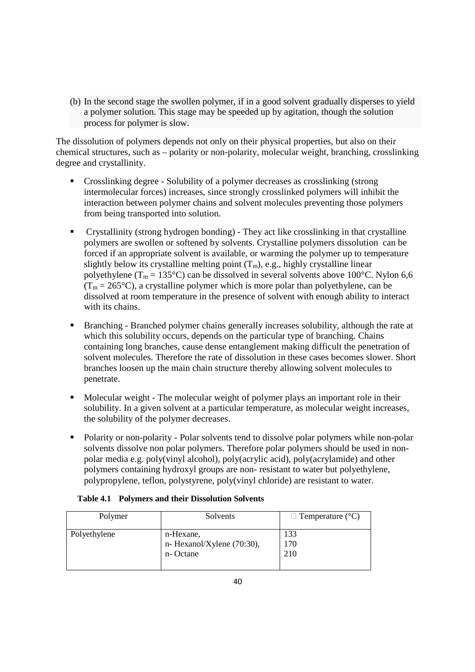(b) In the second stage the swollen polymer, if in a good solvent gradually disperses to yield a polymer solution. This stage may be speeded up by agitation, though the solution process for polymer is slow.

The dissolution of polymers depends not only on their physical properties, but also on their chemical structures, such as – polarity or non-polarity, molecular weight, branching, crosslinking degree and crystallinity.

- Crosslinking degree Solubility of a polymer decreases as crosslinking (strong intermolecular forces) increases, since strongly crosslinked polymers will inhibit the interaction between polymer chains and solvent molecules preventing those polymers from being transported into solution.
- Crystallinity (strong hydrogen bonding) They act like crosslinking in that crystalline polymers are swollen or softened by solvents. Crystalline polymers dissolution can be forced if an appropriate solvent is available, or warming the polymer up to temperature slightly below its crystalline melting point  $(T_m)$ , e.g., highly crystalline linear polyethylene ( $T_m = 135^{\circ}$ C) can be dissolved in several solvents above 100 $^{\circ}$ C. Nylon 6,6  $(T_m = 265^{\circ}C)$ , a crystalline polymer which is more polar than polyethylene, can be dissolved at room temperature in the presence of solvent with enough ability to interact with its chains.
- Branching Branched polymer chains generally increases solubility, although the rate at which this solubility occurs, depends on the particular type of branching. Chains containing long branches, cause dense entanglement making difficult the penetration of solvent molecules. Therefore the rate of dissolution in these cases becomes slower. Short branches loosen up the main chain structure thereby allowing solvent molecules to penetrate.
- Molecular weight The molecular weight of polymer plays an important role in their solubility. In a given solvent at a particular temperature, as molecular weight increases, the solubility of the polymer decreases.
- Polarity or non-polarity Polar solvents tend to dissolve polar polymers while non-polar solvents dissolve non polar polymers. Therefore polar polymers should be used in nonpolar media e.g. poly(vinyl alcohol), poly(acrylic acid), poly(acrylamide) and other polymers containing hydroxyl groups are non- resistant to water but polyethylene, polypropylene, teflon, polystyrene, poly(vinyl chloride) are resistant to water.

| Polymer      | Solvents                                               | $\Box$ Temperature (°C) |
|--------------|--------------------------------------------------------|-------------------------|
| Polyethylene | n-Hexane,<br>n- Hexanol/Xylene $(70:30)$ ,<br>n-Octane | 133<br>170<br>210       |

#### **Table 4.1 Polymers and their Dissolution Solvents**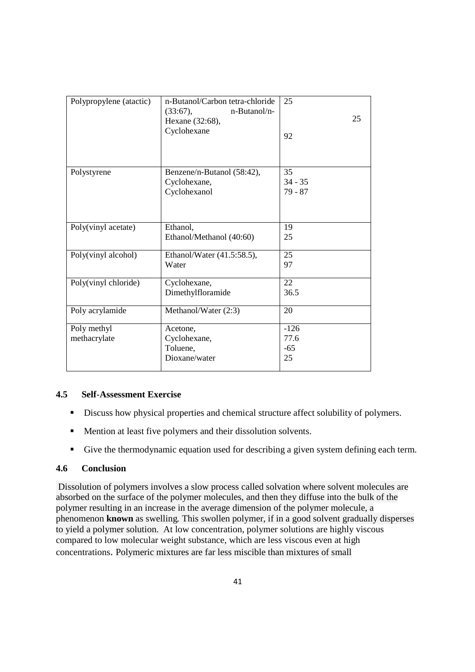| Polypropylene (atactic)     | n-Butanol/Carbon tetra-chloride<br>(33:67),<br>n-Butanol/n-<br>Hexane (32:68),<br>Cyclohexane | 25<br>25<br>92                |
|-----------------------------|-----------------------------------------------------------------------------------------------|-------------------------------|
| Polystyrene                 | Benzene/n-Butanol (58:42),<br>Cyclohexane,<br>Cyclohexanol                                    | 35<br>$34 - 35$<br>79 - 87    |
| Poly(vinyl acetate)         | Ethanol,<br>Ethanol/Methanol (40:60)                                                          | 19<br>25                      |
| Poly(vinyl alcohol)         | Ethanol/Water (41.5:58.5),<br>Water                                                           | 25<br>97                      |
| Poly(vinyl chloride)        | Cyclohexane,<br>Dimethylfloramide                                                             | 22<br>36.5                    |
| Poly acrylamide             | Methanol/Water (2:3)                                                                          | 20                            |
| Poly methyl<br>methacrylate | Acetone,<br>Cyclohexane,<br>Toluene,<br>Dioxane/water                                         | $-126$<br>77.6<br>$-65$<br>25 |

## **4.5 Self**-**Assessment Exercise**

- Discuss how physical properties and chemical structure affect solubility of polymers.
- **Mention at least five polymers and their dissolution solvents.**
- Give the thermodynamic equation used for describing a given system defining each term.

## **4.6 Conclusion**

 Dissolution of polymers involves a slow process called solvation where solvent molecules are absorbed on the surface of the polymer molecules, and then they diffuse into the bulk of the polymer resulting in an increase in the average dimension of the polymer molecule, a phenomenon **known** as swelling*.* This swollen polymer, if in a good solvent gradually disperses to yield a polymer solution. At low concentration, polymer solutions are highly viscous compared to low molecular weight substance, which are less viscous even at high concentrations. Polymeric mixtures are far less miscible than mixtures of small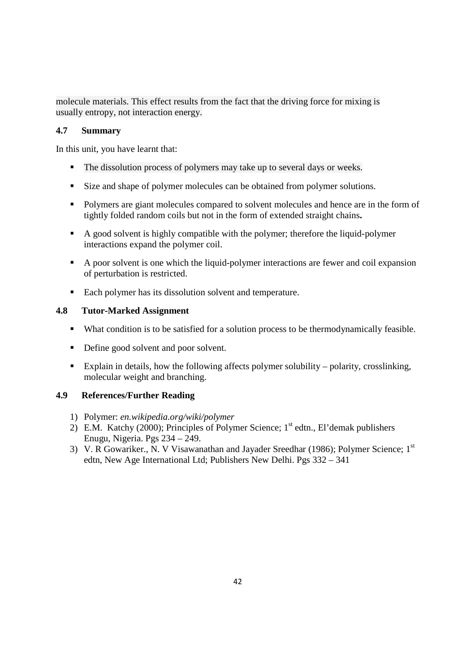molecule materials. This effect results from the fact that the driving force for mixing is usually entropy, not interaction energy.

## **4.7 Summary**

In this unit, you have learnt that:

- The dissolution process of polymers may take up to several days or weeks.
- Size and shape of polymer molecules can be obtained from polymer solutions.
- Polymers are giant molecules compared to solvent molecules and hence are in the form of tightly folded random coils but not in the form of extended straight chains**.**
- A good solvent is highly compatible with the polymer; therefore the liquid-polymer interactions expand the polymer coil.
- A poor solvent is one which the liquid-polymer interactions are fewer and coil expansion of perturbation is restricted.
- Each polymer has its dissolution solvent and temperature.

## **4.8 Tutor-Marked Assignment**

- What condition is to be satisfied for a solution process to be thermodynamically feasible.
- Define good solvent and poor solvent.
- Explain in details, how the following affects polymer solubility polarity, crosslinking, molecular weight and branching.

## **4.9 References/Further Reading**

- 1) Polymer: *en.wikipedia.org/wiki/polymer*
- 2) E.M. Katchy (2000); Principles of Polymer Science;  $1<sup>st</sup>$  edtn., El'demak publishers Enugu, Nigeria. Pgs 234 – 249.
- 3) V. R Gowariker., N. V Visawanathan and Jayader Sreedhar (1986); Polymer Science; 1st edtn, New Age International Ltd; Publishers New Delhi. Pgs 332 – 341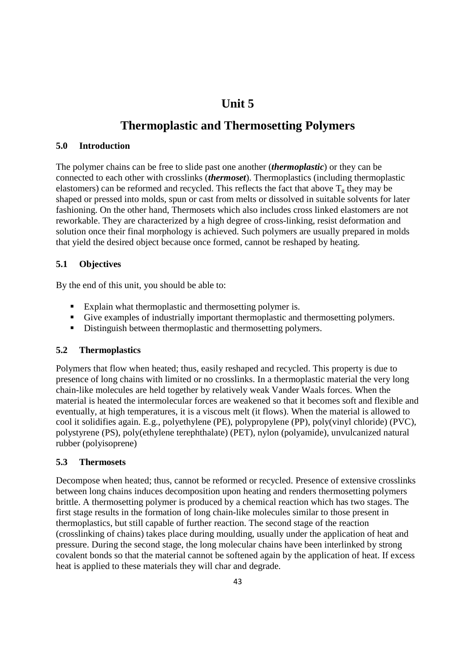# **Unit 5**

# **Thermoplastic and Thermosetting Polymers**

## **5.0 Introduction**

The polymer chains can be free to slide past one another (*thermoplastic*) or they can be connected to each other with crosslinks (*thermoset*). Thermoplastics (including thermoplastic elastomers) can be reformed and recycled. This reflects the fact that above  $T_g$  they may be shaped or pressed into molds, spun or cast from melts or dissolved in suitable solvents for later fashioning. On the other hand, Thermosets which also includes cross linked elastomers are not reworkable. They are characterized by a high degree of cross-linking, resist deformation and solution once their final morphology is achieved. Such polymers are usually prepared in molds that yield the desired object because once formed, cannot be reshaped by heating.

## **5.1 Objectives**

By the end of this unit, you should be able to:

- Explain what thermoplastic and thermosetting polymer is.
- Give examples of industrially important thermoplastic and thermosetting polymers.
- Distinguish between thermoplastic and thermosetting polymers.

## **5.2 Thermoplastics**

Polymers that flow when heated; thus, easily reshaped and recycled. This property is due to presence of long chains with limited or no crosslinks. In a thermoplastic material the very long chain-like molecules are held together by relatively weak Vander Waals forces. When the material is heated the intermolecular forces are weakened so that it becomes soft and flexible and eventually, at high temperatures, it is a viscous melt (it flows). When the material is allowed to cool it solidifies again. E.g., polyethylene (PE), polypropylene (PP), poly(vinyl chloride) (PVC), polystyrene (PS), poly(ethylene terephthalate) (PET), nylon (polyamide), unvulcanized natural rubber (polyisoprene)

## **5.3 Thermosets**

Decompose when heated; thus, cannot be reformed or recycled. Presence of extensive crosslinks between long chains induces decomposition upon heating and renders thermosetting polymers brittle. A thermosetting polymer is produced by a chemical reaction which has two stages. The first stage results in the formation of long chain-like molecules similar to those present in thermoplastics, but still capable of further reaction. The second stage of the reaction (crosslinking of chains) takes place during moulding, usually under the application of heat and pressure. During the second stage, the long molecular chains have been interlinked by strong covalent bonds so that the material cannot be softened again by the application of heat. If excess heat is applied to these materials they will char and degrade.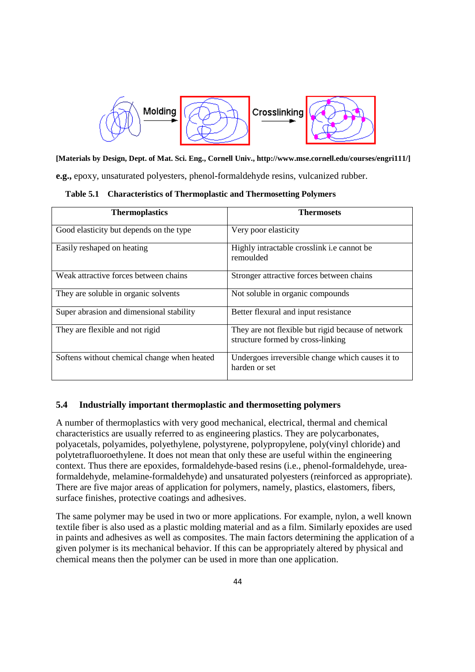

**[Materials by Design, Dept. of Mat. Sci. Eng., Cornell Univ., http://www.mse.cornell.edu/courses/engri111/] e.g.,** epoxy, unsaturated polyesters, phenol-formaldehyde resins, vulcanized rubber.

 **Table 5.1 Characteristics of Thermoplastic and Thermosetting Polymers** 

| <b>Thermoplastics</b>                       | <b>Thermosets</b>                                                                       |
|---------------------------------------------|-----------------------------------------------------------------------------------------|
| Good elasticity but depends on the type     | Very poor elasticity                                                                    |
| Easily reshaped on heating                  | Highly intractable crosslink i.e cannot be<br>remoulded                                 |
| Weak attractive forces between chains       | Stronger attractive forces between chains                                               |
| They are soluble in organic solvents        | Not soluble in organic compounds                                                        |
| Super abrasion and dimensional stability    | Better flexural and input resistance                                                    |
| They are flexible and not rigid             | They are not flexible but rigid because of network<br>structure formed by cross-linking |
| Softens without chemical change when heated | Undergoes irreversible change which causes it to<br>harden or set                       |

#### **5.4 Industrially important thermoplastic and thermosetting polymers**

A number of thermoplastics with very good mechanical, electrical, thermal and chemical characteristics are usually referred to as engineering plastics. They are polycarbonates, polyacetals, polyamides, polyethylene, polystyrene, polypropylene, poly(vinyl chloride) and polytetrafluoroethylene. It does not mean that only these are useful within the engineering context. Thus there are epoxides, formaldehyde-based resins (i.e., phenol-formaldehyde, ureaformaldehyde, melamine-formaldehyde) and unsaturated polyesters (reinforced as appropriate). There are five major areas of application for polymers, namely, plastics, elastomers, fibers, surface finishes, protective coatings and adhesives.

The same polymer may be used in two or more applications. For example, nylon, a well known textile fiber is also used as a plastic molding material and as a film. Similarly epoxides are used in paints and adhesives as well as composites. The main factors determining the application of a given polymer is its mechanical behavior. If this can be appropriately altered by physical and chemical means then the polymer can be used in more than one application.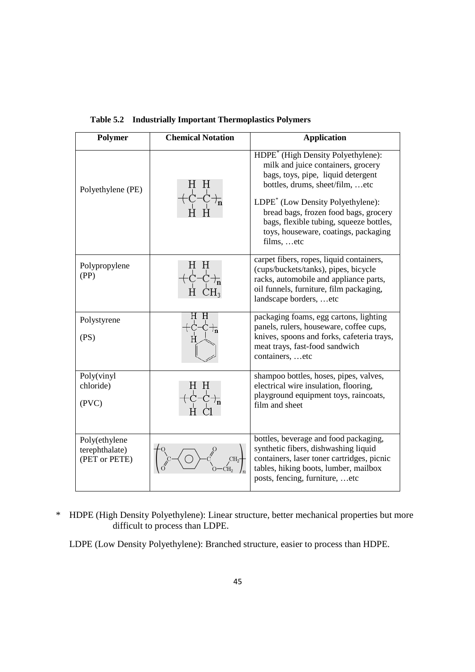| Polymer                                          | <b>Chemical Notation</b> | <b>Application</b>                                                                                                                                                                                                                                                                                                                                        |
|--------------------------------------------------|--------------------------|-----------------------------------------------------------------------------------------------------------------------------------------------------------------------------------------------------------------------------------------------------------------------------------------------------------------------------------------------------------|
| Polyethylene (PE)                                |                          | HDPE <sup>*</sup> (High Density Polyethylene):<br>milk and juice containers, grocery<br>bags, toys, pipe, liquid detergent<br>bottles, drums, sheet/film,  etc<br>LDPE <sup>*</sup> (Low Density Polyethylene):<br>bread bags, frozen food bags, grocery<br>bags, flexible tubing, squeeze bottles,<br>toys, houseware, coatings, packaging<br>films, etc |
| Polypropylene<br>(PP)                            |                          | carpet fibers, ropes, liquid containers,<br>(cups/buckets/tanks), pipes, bicycle<br>racks, automobile and appliance parts,<br>oil funnels, furniture, film packaging,<br>landscape borders,  etc                                                                                                                                                          |
| Polystyrene<br>(PS)                              |                          | packaging foams, egg cartons, lighting<br>panels, rulers, houseware, coffee cups,<br>knives, spoons and forks, cafeteria trays,<br>meat trays, fast-food sandwich<br>containers,  etc                                                                                                                                                                     |
| Poly(vinyl<br>chloride)<br>(PVC)                 |                          | shampoo bottles, hoses, pipes, valves,<br>electrical wire insulation, flooring,<br>playground equipment toys, raincoats,<br>film and sheet                                                                                                                                                                                                                |
| Poly(ethylene<br>terephthalate)<br>(PET or PETE) | CH <sub>2</sub>          | bottles, beverage and food packaging,<br>synthetic fibers, dishwashing liquid<br>containers, laser toner cartridges, picnic<br>tables, hiking boots, lumber, mailbox<br>posts, fencing, furniture,  etc                                                                                                                                                   |

 **Table 5.2 Industrially Important Thermoplastics Polymers** 

\* HDPE (High Density Polyethylene): Linear structure, better mechanical properties but more difficult to process than LDPE.

LDPE (Low Density Polyethylene): Branched structure, easier to process than HDPE.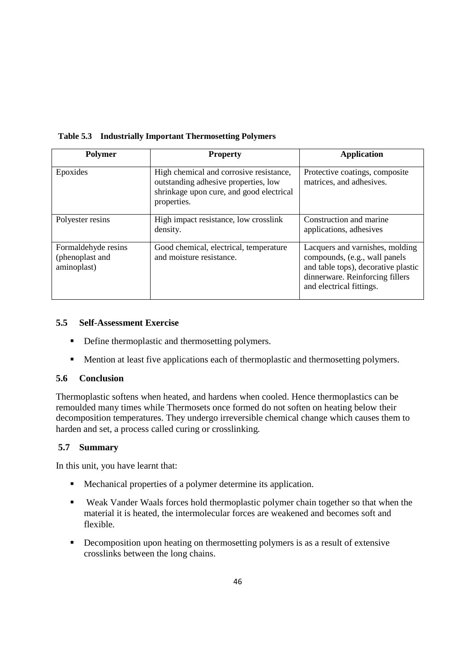| <b>Polymer</b>                                        | <b>Property</b>                                                                                                                            | <b>Application</b>                                                                                                                                                     |
|-------------------------------------------------------|--------------------------------------------------------------------------------------------------------------------------------------------|------------------------------------------------------------------------------------------------------------------------------------------------------------------------|
| Epoxides                                              | High chemical and corrosive resistance,<br>outstanding adhesive properties, low<br>shrinkage upon cure, and good electrical<br>properties. | Protective coatings, composite<br>matrices, and adhesives.                                                                                                             |
| Polyester resins                                      | High impact resistance, low crosslink<br>density.                                                                                          | Construction and marine<br>applications, adhesives                                                                                                                     |
| Formaldehyde resins<br>(phenoplast and<br>aminoplast) | Good chemical, electrical, temperature<br>and moisture resistance.                                                                         | Lacquers and varnishes, molding<br>compounds, (e.g., wall panels<br>and table tops), decorative plastic<br>dinnerware. Reinforcing fillers<br>and electrical fittings. |

 **Table 5.3 Industrially Important Thermosetting Polymers** 

#### **5.5 Self**-**Assessment Exercise**

- Define thermoplastic and thermosetting polymers.
- **Mention at least five applications each of thermoplastic and thermosetting polymers.**

#### **5.6 Conclusion**

Thermoplastic softens when heated, and hardens when cooled. Hence thermoplastics can be remoulded many times while Thermosets once formed do not soften on heating below their decomposition temperatures. They undergo irreversible chemical change which causes them to harden and set, a process called curing or crosslinking.

#### **5.7 Summary**

In this unit, you have learnt that:

- Mechanical properties of a polymer determine its application.
- Weak Vander Waals forces hold thermoplastic polymer chain together so that when the material it is heated, the intermolecular forces are weakened and becomes soft and flexible.
- Decomposition upon heating on thermosetting polymers is as a result of extensive crosslinks between the long chains.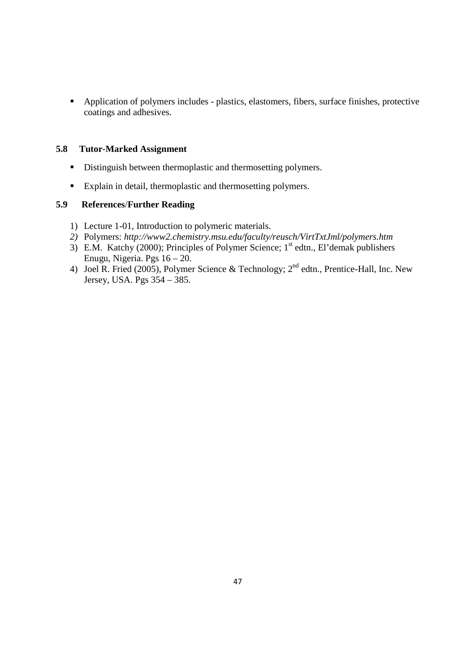Application of polymers includes - plastics, elastomers, fibers, surface finishes, protective coatings and adhesives.

#### **5.8 Tutor**-**Marked Assignment**

- Distinguish between thermoplastic and thermosetting polymers.
- Explain in detail, thermoplastic and thermosetting polymers.

## **5.9 References**/**Further Reading**

- 1) Lecture 1-01, Introduction to polymeric materials.
- *2)* Polymers: *http://www2.chemistry.msu.edu/faculty/reusch/VirtTxtJml/polymers.htm*
- 3) E.M. Katchy (2000); Principles of Polymer Science; 1<sup>st</sup> edtn., El'demak publishers Enugu, Nigeria. Pgs 16 – 20.
- 4) Joel R. Fried (2005), Polymer Science & Technology; 2<sup>nd</sup> edtn., Prentice-Hall, Inc. New Jersey, USA. Pgs 354 – 385.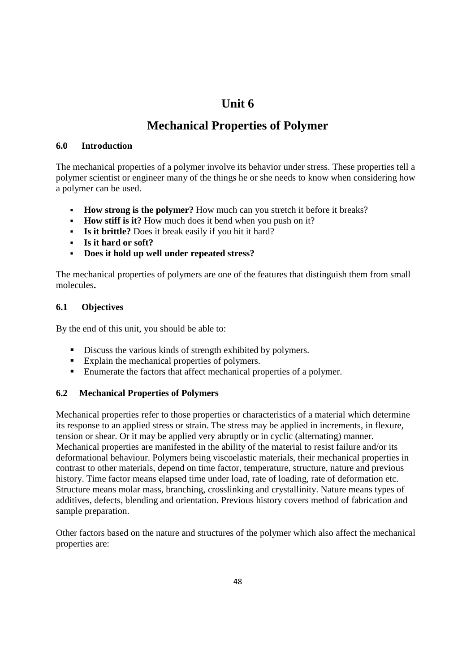# **Unit 6**

# **Mechanical Properties of Polymer**

## **6.0 Introduction**

The mechanical properties of a polymer involve its behavior under stress. These properties tell a polymer scientist or engineer many of the things he or she needs to know when considering how a polymer can be used.

- **How strong is the polymer?** How much can you stretch it before it breaks?
- **How stiff is it?** How much does it bend when you push on it?
- **Is it brittle?** Does it break easily if you hit it hard?
- **Is it hard or soft?**
- **Does it hold up well under repeated stress?**

The mechanical properties of polymers are one of the features that distinguish them from small molecules**.** 

## **6.1 Objectives**

By the end of this unit, you should be able to:

- Discuss the various kinds of strength exhibited by polymers.
- Explain the mechanical properties of polymers.
- **Enumerate the factors that affect mechanical properties of a polymer.**

## **6.2 Mechanical Properties of Polymers**

Mechanical properties refer to those properties or characteristics of a material which determine its response to an applied stress or strain. The stress may be applied in increments, in flexure, tension or shear. Or it may be applied very abruptly or in cyclic (alternating) manner. Mechanical properties are manifested in the ability of the material to resist failure and/or its deformational behaviour. Polymers being viscoelastic materials, their mechanical properties in contrast to other materials, depend on time factor, temperature, structure, nature and previous history. Time factor means elapsed time under load, rate of loading, rate of deformation etc. Structure means molar mass, branching, crosslinking and crystallinity. Nature means types of additives, defects, blending and orientation. Previous history covers method of fabrication and sample preparation.

Other factors based on the nature and structures of the polymer which also affect the mechanical properties are: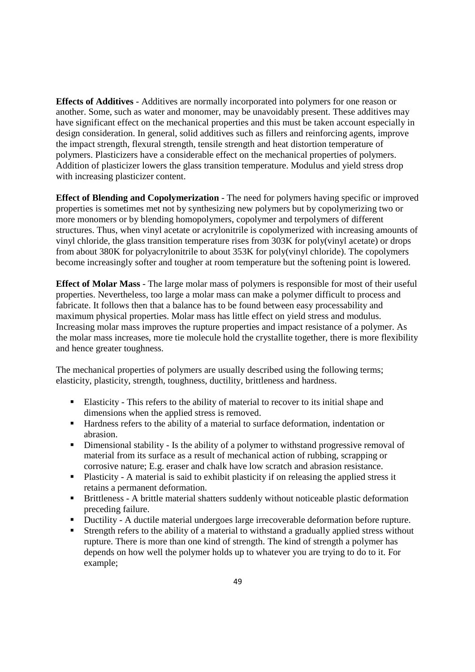**Effects of Additives** - Additives are normally incorporated into polymers for one reason or another. Some, such as water and monomer, may be unavoidably present. These additives may have significant effect on the mechanical properties and this must be taken account especially in design consideration. In general, solid additives such as fillers and reinforcing agents, improve the impact strength, flexural strength, tensile strength and heat distortion temperature of polymers. Plasticizers have a considerable effect on the mechanical properties of polymers. Addition of plasticizer lowers the glass transition temperature. Modulus and yield stress drop with increasing plasticizer content.

**Effect of Blending and Copolymerization** - The need for polymers having specific or improved properties is sometimes met not by synthesizing new polymers but by copolymerizing two or more monomers or by blending homopolymers, copolymer and terpolymers of different structures. Thus, when vinyl acetate or acrylonitrile is copolymerized with increasing amounts of vinyl chloride, the glass transition temperature rises from 303K for poly(vinyl acetate) or drops from about 380K for polyacrylonitrile to about 353K for poly(vinyl chloride). The copolymers become increasingly softer and tougher at room temperature but the softening point is lowered.

**Effect of Molar Mass** - The large molar mass of polymers is responsible for most of their useful properties. Nevertheless, too large a molar mass can make a polymer difficult to process and fabricate. It follows then that a balance has to be found between easy processability and maximum physical properties. Molar mass has little effect on yield stress and modulus. Increasing molar mass improves the rupture properties and impact resistance of a polymer. As the molar mass increases, more tie molecule hold the crystallite together, there is more flexibility and hence greater toughness.

The mechanical properties of polymers are usually described using the following terms; elasticity, plasticity, strength, toughness, ductility, brittleness and hardness.

- Elasticity This refers to the ability of material to recover to its initial shape and dimensions when the applied stress is removed.
- Hardness refers to the ability of a material to surface deformation, indentation or abrasion.
- Dimensional stability Is the ability of a polymer to withstand progressive removal of material from its surface as a result of mechanical action of rubbing, scrapping or corrosive nature; E.g. eraser and chalk have low scratch and abrasion resistance.
- Plasticity A material is said to exhibit plasticity if on releasing the applied stress it retains a permanent deformation.
- Brittleness A brittle material shatters suddenly without noticeable plastic deformation preceding failure.
- Ductility A ductile material undergoes large irrecoverable deformation before rupture.
- Strength refers to the ability of a material to withstand a gradually applied stress without rupture. There is more than one kind of strength. The kind of strength a polymer has depends on how well the polymer holds up to whatever you are trying to do to it. For example;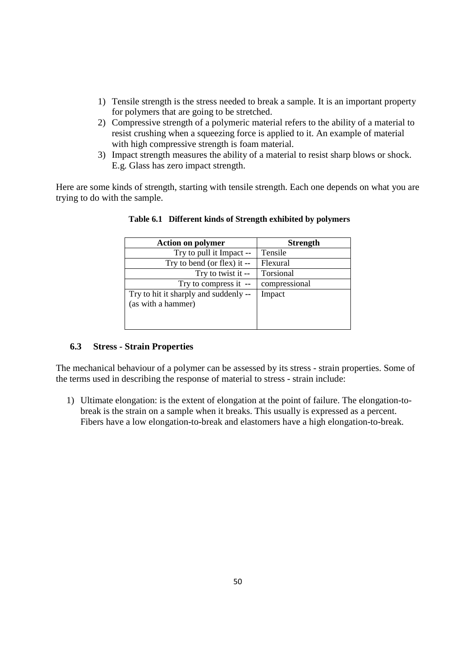- 1) Tensile strength is the stress needed to break a sample. It is an important property for polymers that are going to be stretched.
- 2) Compressive strength of a polymeric material refers to the ability of a material to resist crushing when a squeezing force is applied to it. An example of material with high compressive strength is foam material.
- 3) Impact strength measures the ability of a material to resist sharp blows or shock. E.g. Glass has zero impact strength.

Here are some kinds of strength, starting with tensile strength. Each one depends on what you are trying to do with the sample.

| <b>Action on polymer</b>              | <b>Strength</b> |
|---------------------------------------|-----------------|
| Try to pull it Impact --              | Tensile         |
| Try to bend (or flex) it $-$          | Flexural        |
| Try to twist it --                    | Torsional       |
| Try to compress it --                 | compressional   |
| Try to hit it sharply and suddenly -- | Impact          |
| (as with a hammer)                    |                 |
|                                       |                 |
|                                       |                 |

 **Table 6.1 Different kinds of Strength exhibited by polymers**

## **6.3 Stress - Strain Properties**

The mechanical behaviour of a polymer can be assessed by its stress - strain properties. Some of the terms used in describing the response of material to stress - strain include:

1) Ultimate elongation: is the extent of elongation at the point of failure. The elongation-tobreak is the strain on a sample when it breaks. This usually is expressed as a percent. Fibers have a low elongation-to-break and elastomers have a high elongation-to-break.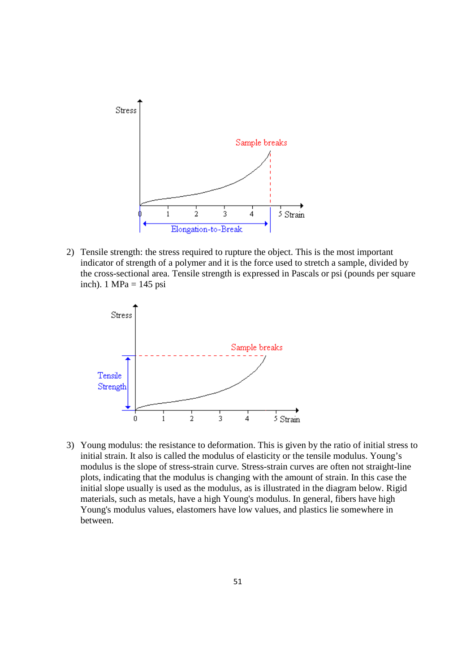

2) Tensile strength: the stress required to rupture the object. This is the most important indicator of strength of a polymer and it is the force used to stretch a sample, divided by the cross-sectional area. Tensile strength is expressed in Pascals or psi (pounds per square inch).  $1 \text{ MPa} = 145 \text{ psi}$ 



3) Young modulus: the resistance to deformation. This is given by the ratio of initial stress to initial strain. It also is called the modulus of elasticity or the tensile modulus. Young's modulus is the slope of stress-strain curve. Stress-strain curves are often not straight-line plots, indicating that the modulus is changing with the amount of strain. In this case the initial slope usually is used as the modulus, as is illustrated in the diagram below. Rigid materials, such as metals, have a high Young's modulus. In general, fibers have high Young's modulus values, elastomers have low values, and plastics lie somewhere in between.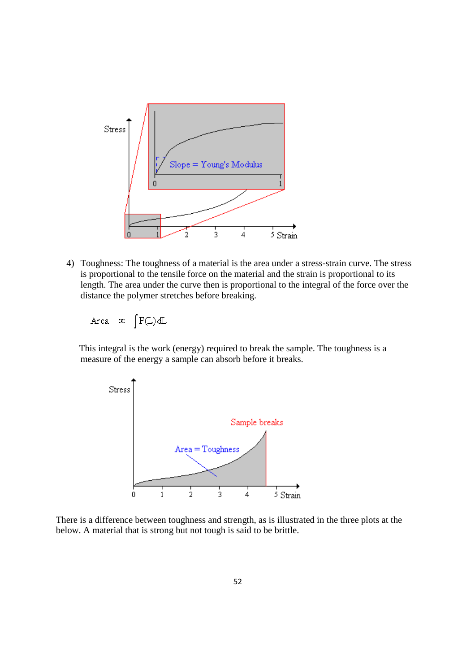

4) Toughness: The toughness of a material is the area under a stress-strain curve. The stress is proportional to the tensile force on the material and the strain is proportional to its length. The area under the curve then is proportional to the integral of the force over the distance the polymer stretches before breaking.

$$
\text{Area} \quad \varpi \quad \int F(L) dL
$$

 This integral is the work (energy) required to break the sample. The toughness is a measure of the energy a sample can absorb before it breaks.



There is a difference between toughness and strength, as is illustrated in the three plots at the below. A material that is strong but not tough is said to be brittle.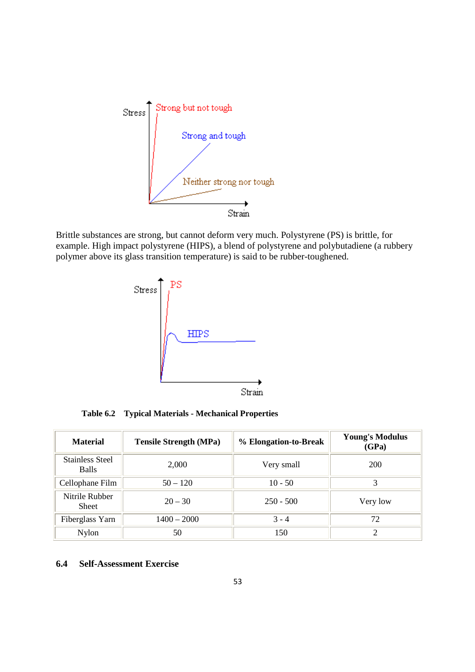

Brittle substances are strong, but cannot deform very much. Polystyrene (PS) is brittle, for example. High impact polystyrene (HIPS), a blend of polystyrene and polybutadiene (a rubbery polymer above its glass transition temperature) is said to be rubber-toughened.



**Table 6.2 Typical Materials - Mechanical Properties**

| <b>Material</b>                        | <b>Tensile Strength (MPa)</b> | % Elongation-to-Break | <b>Young's Modulus</b><br>(GPa) |
|----------------------------------------|-------------------------------|-----------------------|---------------------------------|
| <b>Stainless Steel</b><br><b>Balls</b> | 2,000                         | Very small            | 200                             |
| Cellophane Film                        | $50 - 120$                    | $10 - 50$             | 3                               |
| Nitrile Rubber<br>Sheet                | $20 - 30$                     | $250 - 500$           | Very low                        |
| Fiberglass Yarn                        | $1400 - 2000$                 | $3 - 4$               | 72                              |
| Nylon                                  | 50                            | 150                   | $\mathfrak{D}$                  |

## **6.4 Self-Assessment Exercise**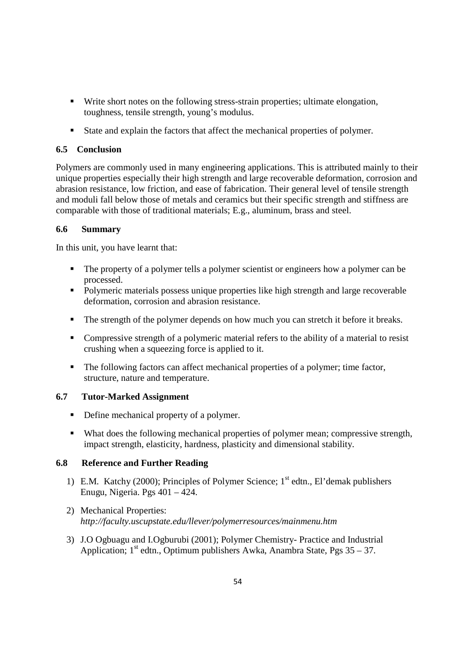- Write short notes on the following stress-strain properties; ultimate elongation, toughness, tensile strength, young's modulus.
- State and explain the factors that affect the mechanical properties of polymer.

## **6.5 Conclusion**

Polymers are commonly used in many engineering applications. This is attributed mainly to their unique properties especially their high strength and large recoverable deformation, corrosion and abrasion resistance, low friction, and ease of fabrication. Their general level of tensile strength and moduli fall below those of metals and ceramics but their specific strength and stiffness are comparable with those of traditional materials; E.g., aluminum, brass and steel.

## **6.6 Summary**

In this unit, you have learnt that:

- The property of a polymer tells a polymer scientist or engineers how a polymer can be processed.
- Polymeric materials possess unique properties like high strength and large recoverable deformation, corrosion and abrasion resistance.
- The strength of the polymer depends on how much you can stretch it before it breaks.
- Compressive strength of a polymeric material refers to the ability of a material to resist crushing when a squeezing force is applied to it.
- The following factors can affect mechanical properties of a polymer; time factor, structure, nature and temperature.

## **6.7 Tutor-Marked Assignment**

- Define mechanical property of a polymer.
- What does the following mechanical properties of polymer mean; compressive strength, impact strength, elasticity, hardness, plasticity and dimensional stability.

## **6.8 Reference and Further Reading**

- 1) E.M. Katchy (2000); Principles of Polymer Science;  $1<sup>st</sup>$  edtn., El'demak publishers Enugu, Nigeria. Pgs 401 – 424.
- 2) Mechanical Properties: *http://faculty.uscupstate.edu/llever/polymerresources/mainmenu.htm*
- 3) J.O Ogbuagu and I.Ogburubi (2001); Polymer Chemistry- Practice and Industrial Application;  $1<sup>st</sup>$  edtn., Optimum publishers Awka, Anambra State, Pgs 35 – 37.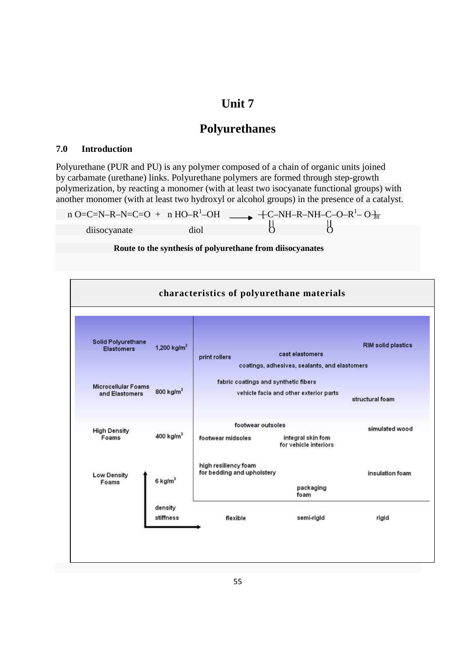## **Unit 7**

## **Polyurethanes**

#### **7.0 Introduction**

Polyurethane (PUR and PU) is any polymer composed of a chain of organic units joined by carbamate (urethane) links. Polyurethane polymers are formed through step-growth polymerization, by reacting a monomer (with at least two isocyanate functional groups) with another monomer (with at least two hydroxyl or alcohol groups) in the presence of a catalyst.

n O=C=N-R-N=C=O + n HO-R<sup>1</sup>-OH 
$$
\longrightarrow
$$
 +C-NH-R-NH-C-O-R<sup>1</sup>-O $\frac{1}{n}$   
diisocyanate  
diol

 **Route to the synthesis of polyurethane from diisocyanates** 

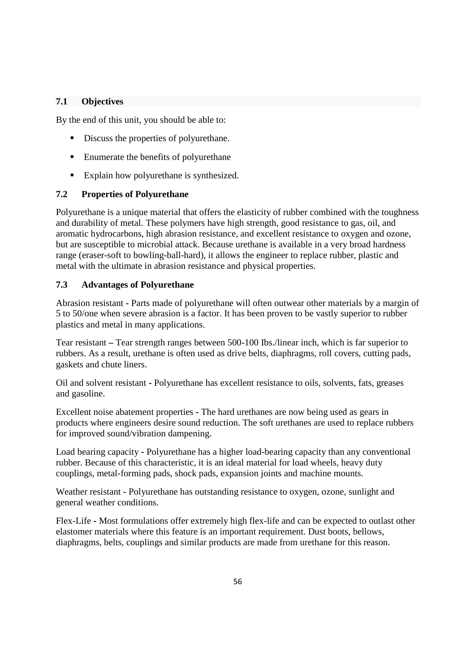## **7.1 Objectives**

By the end of this unit, you should be able to:

- Discuss the properties of polyurethane.
- Enumerate the benefits of polyurethane
- Explain how polyurethane is synthesized.

## **7.2 Properties of Polyurethane**

Polyurethane is a unique material that offers the elasticity of rubber combined with the toughness and durability of metal. These polymers have high strength, good resistance to gas, oil, and aromatic hydrocarbons, high abrasion resistance, and excellent resistance to oxygen and ozone, but are susceptible to microbial attack. Because urethane is available in a very broad hardness range (eraser-soft to bowling-ball-hard), it allows the engineer to replace rubber, plastic and metal with the ultimate in abrasion resistance and physical properties.

## **7.3 Advantages of Polyurethane**

Abrasion resistant **-** Parts made of polyurethane will often outwear other materials by a margin of 5 to 50/one when severe abrasion is a factor. It has been proven to be vastly superior to rubber plastics and metal in many applications.

Tear resistant **–** Tear strength ranges between 500-100 Ibs./linear inch, which is far superior to rubbers. As a result, urethane is often used as drive belts, diaphragms, roll covers, cutting pads, gaskets and chute liners.

Oil and solvent resistant **-** Polyurethane has excellent resistance to oils, solvents, fats, greases and gasoline.

Excellent noise abatement properties **-** The hard urethanes are now being used as gears in products where engineers desire sound reduction. The soft urethanes are used to replace rubbers for improved sound/vibration dampening.

Load bearing capacity **-** Polyurethane has a higher load-bearing capacity than any conventional rubber. Because of this characteristic, it is an ideal material for load wheels, heavy duty couplings, metal-forming pads, shock pads, expansion joints and machine mounts.

Weather resistant **-** Polyurethane has outstanding resistance to oxygen, ozone, sunlight and general weather conditions.

Flex-Life **-** Most formulations offer extremely high flex-life and can be expected to outlast other elastomer materials where this feature is an important requirement. Dust boots, bellows, diaphragms, belts, couplings and similar products are made from urethane for this reason.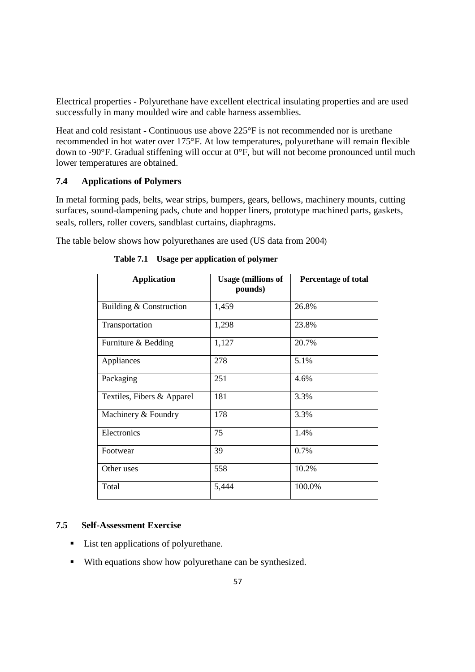Electrical properties **-** Polyurethane have excellent electrical insulating properties and are used successfully in many moulded wire and cable harness assemblies.

Heat and cold resistant **-** Continuous use above 225°F is not recommended nor is urethane recommended in hot water over 175°F. At low temperatures, polyurethane will remain flexible down to -90°F. Gradual stiffening will occur at 0°F, but will not become pronounced until much lower temperatures are obtained.

## **7.4 Applications of Polymers**

In metal forming pads, belts, wear strips, bumpers, gears, bellows, machinery mounts, cutting surfaces, sound-dampening pads, chute and hopper liners, prototype machined parts, gaskets, seals, rollers, roller covers, sandblast curtains, diaphragms.

The table below shows how polyurethanes are used (US data from 2004)

| <b>Application</b>         | <b>Usage (millions of</b><br>pounds) | <b>Percentage of total</b> |
|----------------------------|--------------------------------------|----------------------------|
| Building & Construction    | 1,459                                | 26.8%                      |
| Transportation             | 1,298                                | 23.8%                      |
| Furniture & Bedding        | 1,127                                | 20.7%                      |
| Appliances                 | 278                                  | 5.1%                       |
| Packaging                  | 251                                  | 4.6%                       |
| Textiles, Fibers & Apparel | 181                                  | 3.3%                       |
| Machinery & Foundry        | 178                                  | 3.3%                       |
| Electronics                | 75                                   | 1.4%                       |
| Footwear                   | 39                                   | 0.7%                       |
| Other uses                 | 558                                  | 10.2%                      |
| Total                      | 5,444                                | 100.0%                     |

 **Table 7.1 Usage per application of polymer**

## **7.5 Self-Assessment Exercise**

- List ten applications of polyurethane.
- With equations show how polyurethane can be synthesized.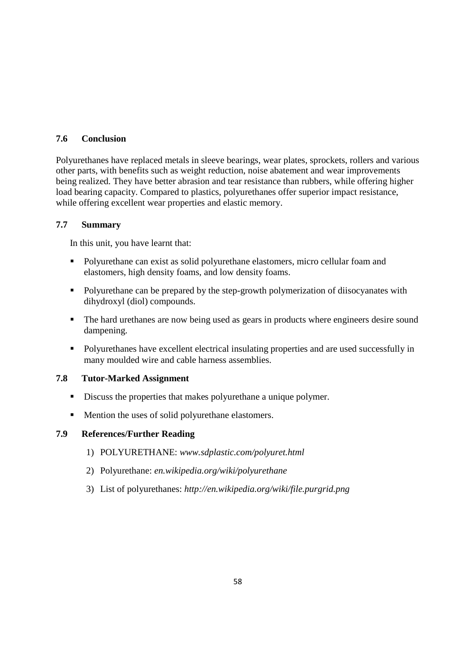## **7.6 Conclusion**

Polyurethanes have replaced metals in sleeve bearings, wear plates, sprockets, rollers and various other parts, with benefits such as weight reduction, noise abatement and wear improvements being realized. They have better abrasion and tear resistance than rubbers, while offering higher load bearing capacity. Compared to plastics, polyurethanes offer superior impact resistance, while offering excellent wear properties and elastic memory.

#### **7.7 Summary**

In this unit, you have learnt that:

- Polyurethane can exist as solid polyurethane elastomers, micro cellular foam and elastomers, high density foams, and low density foams.
- Polyurethane can be prepared by the step-growth polymerization of diisocyanates with dihydroxyl (diol) compounds.
- The hard urethanes are now being used as gears in products where engineers desire sound dampening.
- Polyurethanes have excellent electrical insulating properties and are used successfully in many moulded wire and cable harness assemblies.

#### **7.8 Tutor-Marked Assignment**

- Discuss the properties that makes polyurethane a unique polymer.
- Mention the uses of solid polyurethane elastomers.

## **7.9 References/Further Reading**

- 1) POLYURETHANE: *www.sdplastic.com/polyuret.html*
- 2) Polyurethane: *en.wikipedia.org/wiki/polyurethane*
- 3) List of polyurethanes: *http://en.wikipedia.org/wiki/file.purgrid.png*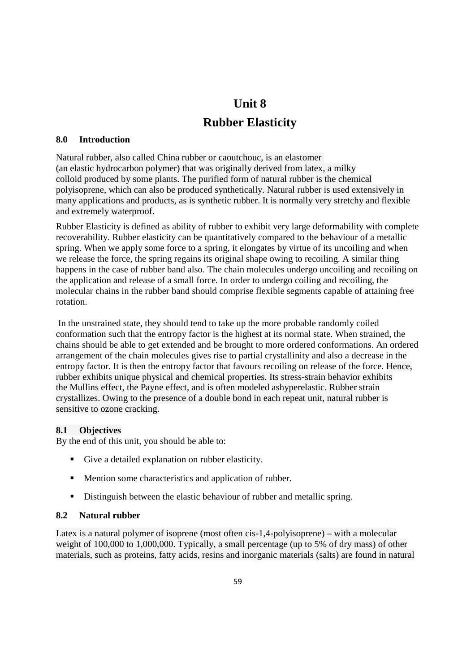# **Unit 8 Rubber Elasticity**

#### **8.0 Introduction**

Natural rubber, also called China rubber or caoutchouc, is an elastomer (an elastic hydrocarbon polymer) that was originally derived from latex, a milky colloid produced by some plants. The purified form of natural rubber is the chemical polyisoprene, which can also be produced synthetically. Natural rubber is used extensively in many applications and products, as is synthetic rubber. It is normally very stretchy and flexible and extremely waterproof.

Rubber Elasticity is defined as ability of rubber to exhibit very large deformability with complete recoverability. Rubber elasticity can be quantitatively compared to the behaviour of a metallic spring. When we apply some force to a spring, it elongates by virtue of its uncoiling and when we release the force, the spring regains its original shape owing to recoiling. A similar thing happens in the case of rubber band also. The chain molecules undergo uncoiling and recoiling on the application and release of a small force. In order to undergo coiling and recoiling, the molecular chains in the rubber band should comprise flexible segments capable of attaining free rotation.

 In the unstrained state, they should tend to take up the more probable randomly coiled conformation such that the entropy factor is the highest at its normal state. When strained, the chains should be able to get extended and be brought to more ordered conformations. An ordered arrangement of the chain molecules gives rise to partial crystallinity and also a decrease in the entropy factor. It is then the entropy factor that favours recoiling on release of the force. Hence, rubber exhibits unique physical and chemical properties. Its stress-strain behavior exhibits the Mullins effect, the Payne effect, and is often modeled ashyperelastic. Rubber strain crystallizes. Owing to the presence of a double bond in each repeat unit, natural rubber is sensitive to ozone cracking.

## **8.1 Objectives**

By the end of this unit, you should be able to:

- Give a detailed explanation on rubber elasticity.
- **Mention some characteristics and application of rubber.**
- Distinguish between the elastic behaviour of rubber and metallic spring.

## **8.2 Natural rubber**

Latex is a natural polymer of isoprene (most often cis-1,4-polyisoprene) – with a molecular weight of 100,000 to 1,000,000. Typically, a small percentage (up to 5% of dry mass) of other materials, such as proteins, fatty acids, resins and inorganic materials (salts) are found in natural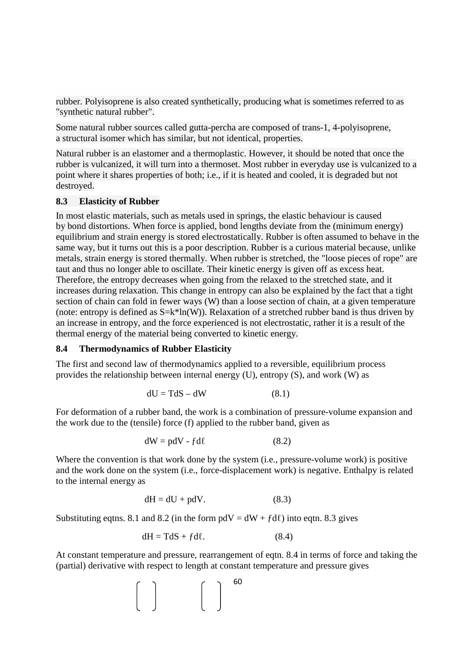rubber. Polyisoprene is also created synthetically, producing what is sometimes referred to as "synthetic natural rubber".

Some natural rubber sources called gutta-percha are composed of trans-1, 4-polyisoprene, a structural isomer which has similar, but not identical, properties.

Natural rubber is an elastomer and a thermoplastic. However, it should be noted that once the rubber is vulcanized, it will turn into a thermoset. Most rubber in everyday use is vulcanized to a point where it shares properties of both; i.e., if it is heated and cooled, it is degraded but not destroyed.

#### **8.3 Elasticity of Rubber**

In most elastic materials, such as metals used in springs, the elastic behaviour is caused by bond distortions. When force is applied, bond lengths deviate from the (minimum energy) equilibrium and strain energy is stored electrostatically. Rubber is often assumed to behave in the same way, but it turns out this is a poor description. Rubber is a curious material because, unlike metals, strain energy is stored thermally. When rubber is stretched, the "loose pieces of rope" are taut and thus no longer able to oscillate. Their kinetic energy is given off as excess heat. Therefore, the entropy decreases when going from the relaxed to the stretched state, and it increases during relaxation. This change in entropy can also be explained by the fact that a tight section of chain can fold in fewer ways (W) than a loose section of chain, at a given temperature (note: entropy is defined as  $S=k*ln(W)$ ). Relaxation of a stretched rubber band is thus driven by an increase in entropy, and the force experienced is not electrostatic, rather it is a result of the thermal energy of the material being converted to kinetic energy.

#### **8.4 Thermodynamics of Rubber Elasticity**

The first and second law of thermodynamics applied to a reversible, equilibrium process provides the relationship between internal energy (U), entropy (S), and work (W) as

$$
dU = TdS - dW \tag{8.1}
$$

For deformation of a rubber band, the work is a combination of pressure-volume expansion and the work due to the (tensile) force (f) applied to the rubber band, given as

$$
dW = pdV - f d\ell \qquad (8.2)
$$

Where the convention is that work done by the system (i.e., pressure-volume work) is positive and the work done on the system (i.e., force-displacement work) is negative. Enthalpy is related to the internal energy as

$$
dH = dU + pdV.
$$
 (8.3)

Substituting eqtns. 8.1 and 8.2 (in the form  $pdV = dW + f d\ell$ ) into eqtn. 8.3 gives

$$
dH = TdS + f d\ell. \tag{8.4}
$$

At constant temperature and pressure, rearrangement of eqtn. 8.4 in terms of force and taking the (partial) derivative with respect to length at constant temperature and pressure gives

$$
\begin{pmatrix} 0 & 0 \\ 0 & 0 \end{pmatrix} \qquad \begin{pmatrix} 0 & 0 \\ 0 & 0 \end{pmatrix} \qquad \begin{pmatrix} 0 & 0 \\ 0 & 0 \end{pmatrix} \qquad \begin{pmatrix} 0 & 0 \\ 0 & 0 \end{pmatrix} \qquad \begin{pmatrix} 0 & 0 \\ 0 & 0 \end{pmatrix} \qquad \begin{pmatrix} 0 & 0 \\ 0 & 0 \end{pmatrix} \qquad \begin{pmatrix} 0 & 0 \\ 0 & 0 \end{pmatrix} \qquad \begin{pmatrix} 0 & 0 \\ 0 & 0 \end{pmatrix} \qquad \begin{pmatrix} 0 & 0 \\ 0 & 0 \end{pmatrix} \qquad \begin{pmatrix} 0 & 0 \\ 0 & 0 \end{pmatrix} \qquad \begin{pmatrix} 0 & 0 \\ 0 & 0 \end{pmatrix} \qquad \begin{pmatrix} 0 & 0 \\ 0 & 0 \end{pmatrix} \qquad \begin{pmatrix} 0 & 0 \\ 0 & 0 \end{pmatrix} \qquad \begin{pmatrix} 0 & 0 \\ 0 & 0 \end{pmatrix} \qquad \begin{pmatrix} 0 & 0 \\ 0 & 0 \end{pmatrix} \qquad \begin{pmatrix} 0 & 0 \\ 0 & 0 \end{pmatrix} \qquad \begin{pmatrix} 0 & 0 \\ 0 & 0 \end{pmatrix} \qquad \begin{pmatrix} 0 & 0 \\ 0 & 0 \end{pmatrix} \qquad \begin{pmatrix} 0 & 0 \\ 0 & 0 \end{pmatrix} \qquad \begin{pmatrix} 0 & 0 \\ 0 & 0 \end{pmatrix} \qquad \begin{pmatrix} 0 & 0 \\ 0 & 0 \end{pmatrix} \qquad \begin{pmatrix} 0 & 0 \\ 0 & 0 \end{pmatrix} \qquad \begin{pmatrix} 0 & 0 \\ 0 & 0 \end{pmatrix} \qquad \begin{pmatrix} 0 & 0 \\ 0 & 0 \end{pmatrix} \qquad \begin{pmatrix} 0 & 0 \\ 0 & 0 \end{pmatrix} \qquad \begin{pmatrix} 0 & 0 \\ 0 & 0 \end{pmatrix} \qquad \begin{pmatrix} 0 & 0 \\ 0 & 0 \end{pmatrix} \qquad \begin{pmatrix} 0 & 0 \\ 0 & 0 \end{pmatrix} \qquad \begin{pmatrix} 0 & 0 \\ 0 & 0 \end{pmatrix} \qquad \begin{pmatrix}
$$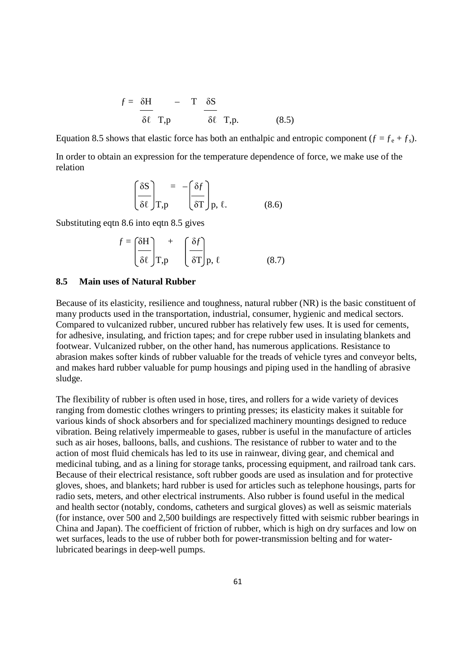$$
f = \frac{\delta H}{\delta \ell} - T \frac{\delta S}{\delta \ell}
$$
  

$$
T, p \qquad \delta \ell T, p. \qquad (8.5)
$$

Equation 8.5 shows that elastic force has both an enthalpic and entropic component ( $f = f_e + f_s$ ).

In order to obtain an expression for the temperature dependence of force, we make use of the relation

$$
\left(\frac{\delta S}{\delta \ell}\right)_{T,p} = -\left(\frac{\delta f}{\delta T}\right)_{p,\ell.}
$$
 (8.6)

Substituting eqtn 8.6 into eqtn 8.5 gives

$$
f = \left(\frac{\delta H}{\delta \ell}\right)_{\text{T,p}} + \left(\frac{\delta f}{\delta \text{T}}\right)_{\text{p}, \ell} \tag{8.7}
$$

#### **8.5 Main uses of Natural Rubber**

Because of its elasticity, resilience and toughness, natural rubber (NR) is the basic constituent of many products used in the transportation, industrial, consumer, hygienic and medical sectors. Compared to vulcanized rubber, uncured rubber has relatively few uses. It is used for cements, for adhesive, insulating, and friction tapes; and for crepe rubber used in insulating blankets and footwear. Vulcanized rubber, on the other hand, has numerous applications. Resistance to abrasion makes softer kinds of rubber valuable for the treads of vehicle tyres and conveyor belts, and makes hard rubber valuable for pump housings and piping used in the handling of abrasive sludge.

The flexibility of rubber is often used in hose, tires, and rollers for a wide variety of devices ranging from domestic clothes wringers to printing presses; its elasticity makes it suitable for various kinds of shock absorbers and for specialized machinery mountings designed to reduce vibration. Being relatively impermeable to gases, rubber is useful in the manufacture of articles such as air hoses, balloons, balls, and cushions. The resistance of rubber to water and to the action of most fluid chemicals has led to its use in rainwear, diving gear, and chemical and medicinal tubing, and as a lining for storage tanks, processing equipment, and railroad tank cars. Because of their electrical resistance, soft rubber goods are used as insulation and for protective gloves, shoes, and blankets; hard rubber is used for articles such as telephone housings, parts for radio sets, meters, and other electrical instruments. Also rubber is found useful in the medical and health sector (notably, condoms, catheters and surgical gloves) as well as seismic materials (for instance, over 500 and 2,500 buildings are respectively fitted with seismic rubber bearings in China and Japan). The coefficient of friction of rubber, which is high on dry surfaces and low on wet surfaces, leads to the use of rubber both for power-transmission belting and for waterlubricated bearings in deep-well pumps.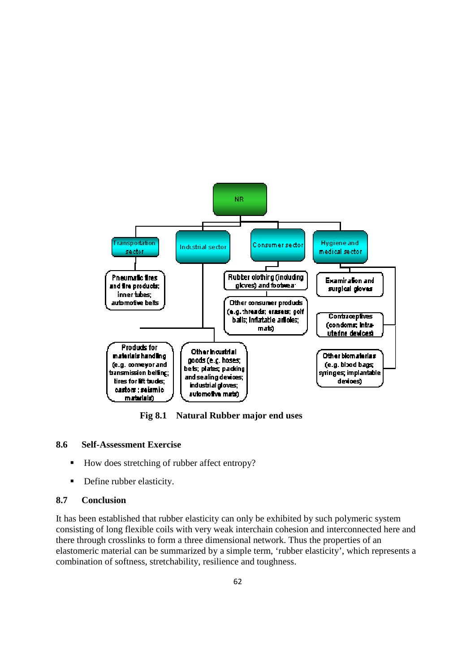

**Fig 8.1 Natural Rubber major end uses**

## **8.6 Self-Assessment Exercise**

- How does stretching of rubber affect entropy?
- Define rubber elasticity.

#### **8.7 Conclusion**

It has been established that rubber elasticity can only be exhibited by such polymeric system consisting of long flexible coils with very weak interchain cohesion and interconnected here and there through crosslinks to form a three dimensional network. Thus the properties of an elastomeric material can be summarized by a simple term, 'rubber elasticity', which represents a combination of softness, stretchability, resilience and toughness.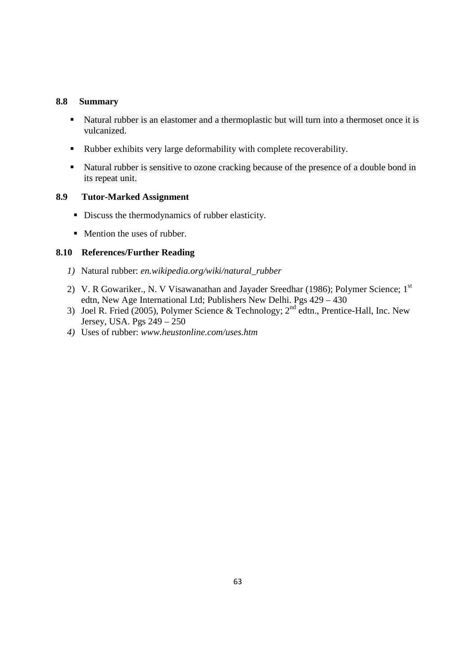#### **8.8 Summary**

- Natural rubber is an elastomer and a thermoplastic but will turn into a thermoset once it is vulcanized.
- Rubber exhibits very large deformability with complete recoverability.
- Natural rubber is sensitive to ozone cracking because of the presence of a double bond in its repeat unit.

## **8.9 Tutor-Marked Assignment**

- Discuss the thermodynamics of rubber elasticity.
- Mention the uses of rubber.

#### **8.10 References/Further Reading**

- *1)* Natural rubber: *en.wikipedia.org/wiki/natural\_rubber*
- 2) V. R Gowariker., N. V Visawanathan and Jayader Sreedhar (1986); Polymer Science; 1st edtn, New Age International Ltd; Publishers New Delhi. Pgs 429 – 430
- 3) Joel R. Fried (2005), Polymer Science & Technology; 2<sup>nd</sup> edtn., Prentice-Hall, Inc. New Jersey, USA. Pgs 249 – 250
- *4)* Uses of rubber: *www.heustonline.com/uses.htm*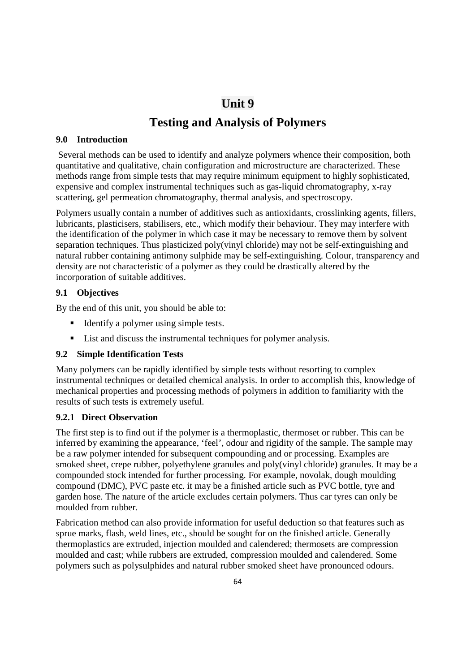# **Unit 9 Testing and Analysis of Polymers**

## **9.0 Introduction**

 Several methods can be used to identify and analyze polymers whence their composition, both quantitative and qualitative, chain configuration and microstructure are characterized. These methods range from simple tests that may require minimum equipment to highly sophisticated, expensive and complex instrumental techniques such as gas-liquid chromatography, x-ray scattering, gel permeation chromatography, thermal analysis, and spectroscopy.

Polymers usually contain a number of additives such as antioxidants, crosslinking agents, fillers, lubricants, plasticisers, stabilisers, etc., which modify their behaviour. They may interfere with the identification of the polymer in which case it may be necessary to remove them by solvent separation techniques. Thus plasticized poly(vinyl chloride) may not be self-extinguishing and natural rubber containing antimony sulphide may be self-extinguishing. Colour, transparency and density are not characteristic of a polymer as they could be drastically altered by the incorporation of suitable additives.

## **9.1 Objectives**

By the end of this unit, you should be able to:

- Identify a polymer using simple tests.
- List and discuss the instrumental techniques for polymer analysis.

## **9.2 Simple Identification Tests**

Many polymers can be rapidly identified by simple tests without resorting to complex instrumental techniques or detailed chemical analysis. In order to accomplish this, knowledge of mechanical properties and processing methods of polymers in addition to familiarity with the results of such tests is extremely useful.

#### **9.2.1 Direct Observation**

The first step is to find out if the polymer is a thermoplastic, thermoset or rubber. This can be inferred by examining the appearance, 'feel', odour and rigidity of the sample. The sample may be a raw polymer intended for subsequent compounding and or processing. Examples are smoked sheet, crepe rubber, polyethylene granules and poly(vinyl chloride) granules. It may be a compounded stock intended for further processing. For example, novolak, dough moulding compound (DMC), PVC paste etc. it may be a finished article such as PVC bottle, tyre and garden hose. The nature of the article excludes certain polymers. Thus car tyres can only be moulded from rubber.

Fabrication method can also provide information for useful deduction so that features such as sprue marks, flash, weld lines, etc., should be sought for on the finished article. Generally thermoplastics are extruded, injection moulded and calendered; thermosets are compression moulded and cast; while rubbers are extruded, compression moulded and calendered. Some polymers such as polysulphides and natural rubber smoked sheet have pronounced odours.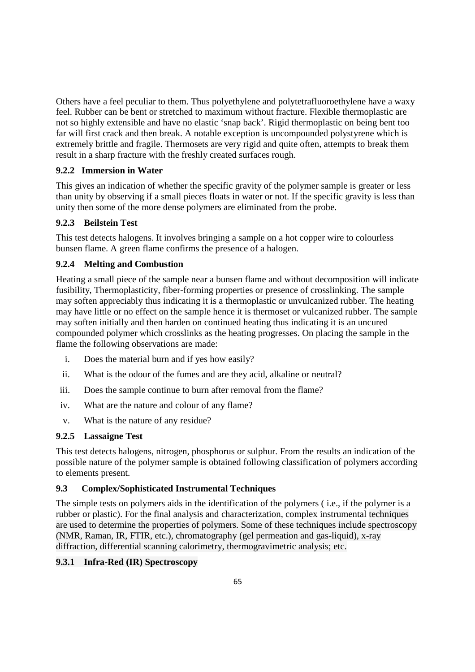Others have a feel peculiar to them. Thus polyethylene and polytetrafluoroethylene have a waxy feel. Rubber can be bent or stretched to maximum without fracture. Flexible thermoplastic are not so highly extensible and have no elastic 'snap back'. Rigid thermoplastic on being bent too far will first crack and then break. A notable exception is uncompounded polystyrene which is extremely brittle and fragile. Thermosets are very rigid and quite often, attempts to break them result in a sharp fracture with the freshly created surfaces rough.

## **9.2.2 Immersion in Water**

This gives an indication of whether the specific gravity of the polymer sample is greater or less than unity by observing if a small pieces floats in water or not. If the specific gravity is less than unity then some of the more dense polymers are eliminated from the probe.

## **9.2.3 Beilstein Test**

This test detects halogens. It involves bringing a sample on a hot copper wire to colourless bunsen flame. A green flame confirms the presence of a halogen.

## **9.2.4 Melting and Combustion**

Heating a small piece of the sample near a bunsen flame and without decomposition will indicate fusibility, Thermoplasticity, fiber-forming properties or presence of crosslinking. The sample may soften appreciably thus indicating it is a thermoplastic or unvulcanized rubber. The heating may have little or no effect on the sample hence it is thermoset or vulcanized rubber. The sample may soften initially and then harden on continued heating thus indicating it is an uncured compounded polymer which crosslinks as the heating progresses. On placing the sample in the flame the following observations are made:

- i. Does the material burn and if yes how easily?
- ii. What is the odour of the fumes and are they acid, alkaline or neutral?
- iii. Does the sample continue to burn after removal from the flame?
- iv. What are the nature and colour of any flame?
- v. What is the nature of any residue?

## **9.2.5 Lassaigne Test**

This test detects halogens, nitrogen, phosphorus or sulphur. From the results an indication of the possible nature of the polymer sample is obtained following classification of polymers according to elements present.

## **9.3 Complex/Sophisticated Instrumental Techniques**

The simple tests on polymers aids in the identification of the polymers ( i.e., if the polymer is a rubber or plastic). For the final analysis and characterization, complex instrumental techniques are used to determine the properties of polymers. Some of these techniques include spectroscopy (NMR, Raman, IR, FTIR, etc.), chromatography (gel permeation and gas-liquid), x-ray diffraction, differential scanning calorimetry, thermogravimetric analysis; etc.

## **9.3.1 Infra-Red (IR) Spectroscopy**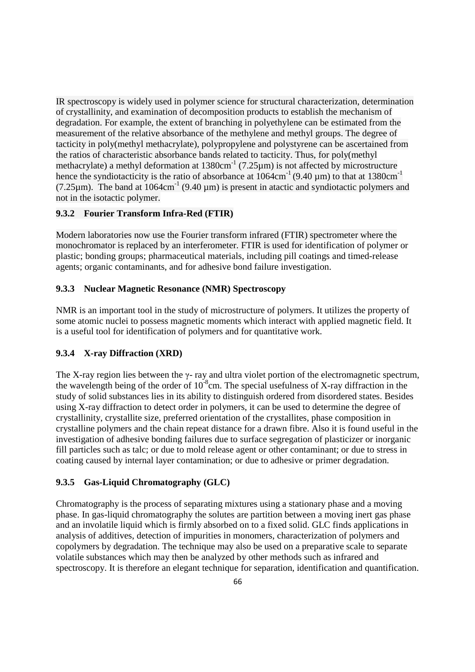IR spectroscopy is widely used in polymer science for structural characterization, determination of crystallinity, and examination of decomposition products to establish the mechanism of degradation. For example, the extent of branching in polyethylene can be estimated from the measurement of the relative absorbance of the methylene and methyl groups. The degree of tacticity in poly(methyl methacrylate), polypropylene and polystyrene can be ascertained from the ratios of characteristic absorbance bands related to tacticity. Thus, for poly(methyl methacrylate) a methyl deformation at  $1380 \text{cm}^{-1}$  (7.25 $\mu$ m) is not affected by microstructure hence the syndiotacticity is the ratio of absorbance at  $1064 \text{cm}^{-1}$  (9.40 µm) to that at 1380cm<sup>-1</sup> (7.25 $\mu$ m). The band at 1064 $\text{cm}^{-1}$  (9.40  $\mu$ m) is present in atactic and syndiotactic polymers and not in the isotactic polymer.

#### **9.3.2 Fourier Transform Infra-Red (FTIR)**

Modern laboratories now use the Fourier transform infrared (FTIR) spectrometer where the monochromator is replaced by an interferometer. FTIR is used for identification of polymer or plastic; bonding groups; pharmaceutical materials, including pill coatings and timed-release agents; organic contaminants, and for adhesive bond failure investigation.

## **9.3.3 Nuclear Magnetic Resonance (NMR) Spectroscopy**

NMR is an important tool in the study of microstructure of polymers. It utilizes the property of some atomic nuclei to possess magnetic moments which interact with applied magnetic field. It is a useful tool for identification of polymers and for quantitative work.

#### **9.3.4 X-ray Diffraction (XRD)**

The X-ray region lies between the  $\gamma$ - ray and ultra violet portion of the electromagnetic spectrum, the wavelength being of the order of  $10^{-8}$ cm. The special usefulness of X-ray diffraction in the study of solid substances lies in its ability to distinguish ordered from disordered states. Besides using X-ray diffraction to detect order in polymers, it can be used to determine the degree of crystallinity, crystallite size, preferred orientation of the crystallites, phase composition in crystalline polymers and the chain repeat distance for a drawn fibre. Also it is found useful in the investigation of adhesive bonding failures due to surface segregation of plasticizer or inorganic fill particles such as talc; or due to mold release agent or other contaminant; or due to stress in coating caused by internal layer contamination; or due to adhesive or primer degradation.

#### **9.3.5 Gas-Liquid Chromatography (GLC)**

Chromatography is the process of separating mixtures using a stationary phase and a moving phase. In gas-liquid chromatography the solutes are partition between a moving inert gas phase and an involatile liquid which is firmly absorbed on to a fixed solid. GLC finds applications in analysis of additives, detection of impurities in monomers, characterization of polymers and copolymers by degradation. The technique may also be used on a preparative scale to separate volatile substances which may then be analyzed by other methods such as infrared and spectroscopy. It is therefore an elegant technique for separation, identification and quantification.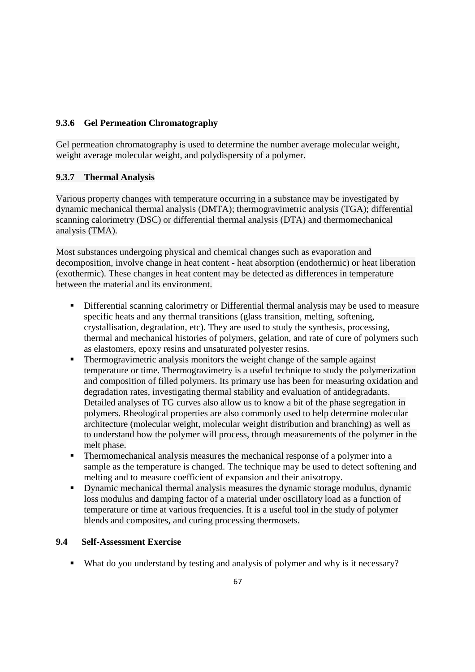## **9.3.6 Gel Permeation Chromatography**

Gel permeation chromatography is used to determine the number average molecular weight, weight average molecular weight, and polydispersity of a polymer.

## **9.3.7 Thermal Analysis**

Various property changes with temperature occurring in a substance may be investigated by dynamic mechanical thermal analysis (DMTA); thermogravimetric analysis (TGA); differential scanning calorimetry (DSC) or differential thermal analysis (DTA) and thermomechanical analysis (TMA).

Most substances undergoing physical and chemical changes such as evaporation and decomposition, involve change in heat content - heat absorption (endothermic) or heat liberation (exothermic). These changes in heat content may be detected as differences in temperature between the material and its environment.

- Differential scanning calorimetry or Differential thermal analysis may be used to measure specific heats and any thermal transitions (glass transition, melting, softening, crystallisation, degradation, etc). They are used to study the synthesis, processing, thermal and mechanical histories of polymers, gelation, and rate of cure of polymers such as elastomers, epoxy resins and unsaturated polyester resins.
- **Thermogravimetric analysis monitors the weight change of the sample against** temperature or time. Thermogravimetry is a useful technique to study the polymerization and composition of filled polymers. Its primary use has been for measuring oxidation and degradation rates, investigating thermal stability and evaluation of antidegradants. Detailed analyses of TG curves also allow us to know a bit of the phase segregation in polymers. Rheological properties are also commonly used to help determine molecular architecture (molecular weight, molecular weight distribution and branching) as well as to understand how the polymer will process, through measurements of the polymer in the melt phase.
- Thermomechanical analysis measures the mechanical response of a polymer into a sample as the temperature is changed. The technique may be used to detect softening and melting and to measure coefficient of expansion and their anisotropy.
- Dynamic mechanical thermal analysis measures the dynamic storage modulus, dynamic loss modulus and damping factor of a material under oscillatory load as a function of temperature or time at various frequencies. It is a useful tool in the study of polymer blends and composites, and curing processing thermosets.

## **9.4 Self-Assessment Exercise**

What do you understand by testing and analysis of polymer and why is it necessary?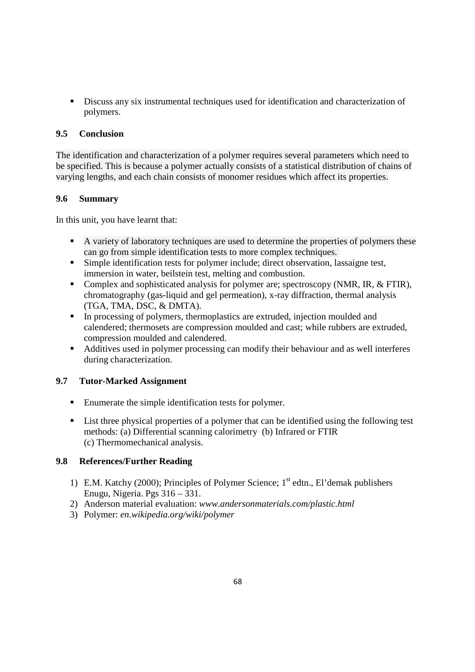Discuss any six instrumental techniques used for identification and characterization of polymers.

## **9.5 Conclusion**

The identification and characterization of a polymer requires several parameters which need to be specified. This is because a polymer actually consists of a statistical distribution of chains of varying lengths, and each chain consists of monomer residues which affect its properties.

## **9.6 Summary**

In this unit, you have learnt that:

- A variety of laboratory techniques are used to determine the properties of polymers these can go from simple identification tests to more complex techniques.
- Simple identification tests for polymer include; direct observation, lassaigne test, immersion in water, beilstein test, melting and combustion.
- Complex and sophisticated analysis for polymer are; spectroscopy (NMR, IR, & FTIR), chromatography (gas-liquid and gel permeation), x-ray diffraction, thermal analysis (TGA, TMA, DSC, & DMTA).
- In processing of polymers, thermoplastics are extruded, injection moulded and calendered; thermosets are compression moulded and cast; while rubbers are extruded, compression moulded and calendered.
- Additives used in polymer processing can modify their behaviour and as well interferes during characterization.

## **9.7 Tutor-Marked Assignment**

- Enumerate the simple identification tests for polymer.
- List three physical properties of a polymer that can be identified using the following test methods: (a) Differential scanning calorimetry (b) Infrared or FTIR (c) Thermomechanical analysis.

## **9.8 References/Further Reading**

- 1) E.M. Katchy (2000); Principles of Polymer Science; 1<sup>st</sup> edtn., El'demak publishers Enugu, Nigeria. Pgs 316 – 331.
- 2) Anderson material evaluation: *www.andersonmaterials.com/plastic.html*
- 3) Polymer: *en.wikipedia.org/wiki/polymer*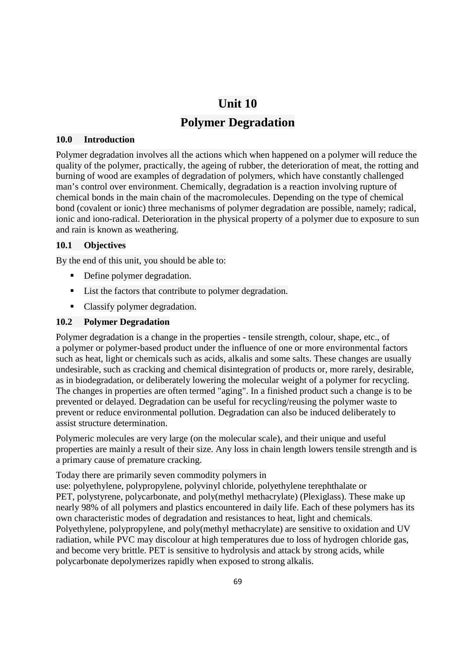# **Unit 10**

# **Polymer Degradation**

## **10.0 Introduction**

Polymer degradation involves all the actions which when happened on a polymer will reduce the quality of the polymer, practically, the ageing of rubber, the deterioration of meat, the rotting and burning of wood are examples of degradation of polymers, which have constantly challenged man's control over environment. Chemically, degradation is a reaction involving rupture of chemical bonds in the main chain of the macromolecules. Depending on the type of chemical bond (covalent or ionic) three mechanisms of polymer degradation are possible, namely; radical, ionic and iono-radical. Deterioration in the physical property of a polymer due to exposure to sun and rain is known as weathering.

## **10.1 Objectives**

By the end of this unit, you should be able to:

- Define polymer degradation.
- **EXECUTE:** List the factors that contribute to polymer degradation.
- Classify polymer degradation.

## **10.2 Polymer Degradation**

Polymer degradation is a change in the properties - tensile strength, colour, shape, etc., of a polymer or polymer-based product under the influence of one or more environmental factors such as heat, light or chemicals such as acids, alkalis and some salts. These changes are usually undesirable, such as cracking and chemical disintegration of products or, more rarely, desirable, as in biodegradation, or deliberately lowering the molecular weight of a polymer for recycling. The changes in properties are often termed "aging". In a finished product such a change is to be prevented or delayed. Degradation can be useful for recycling/reusing the polymer waste to prevent or reduce environmental pollution. Degradation can also be induced deliberately to assist structure determination.

Polymeric molecules are very large (on the molecular scale), and their unique and useful properties are mainly a result of their size. Any loss in chain length lowers tensile strength and is a primary cause of premature cracking.

Today there are primarily seven commodity polymers in

use: polyethylene, polypropylene, polyvinyl chloride, polyethylene terephthalate or PET, polystyrene, polycarbonate, and poly(methyl methacrylate) (Plexiglass). These make up nearly 98% of all polymers and plastics encountered in daily life. Each of these polymers has its own characteristic modes of degradation and resistances to heat, light and chemicals. Polyethylene, polypropylene, and poly(methyl methacrylate) are sensitive to oxidation and UV radiation, while PVC may discolour at high temperatures due to loss of hydrogen chloride gas, and become very brittle. PET is sensitive to hydrolysis and attack by strong acids, while polycarbonate depolymerizes rapidly when exposed to strong alkalis.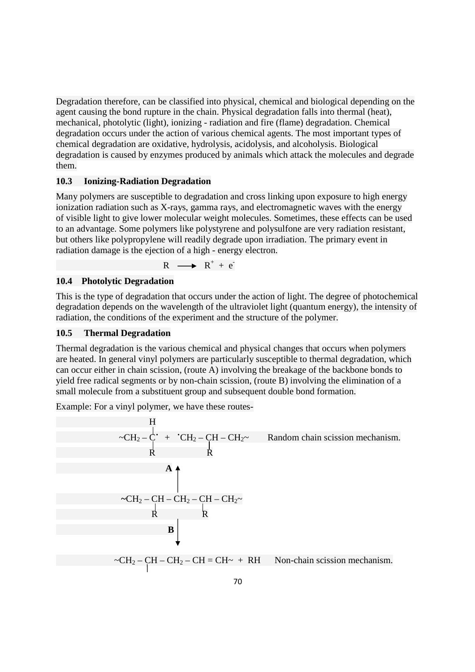Degradation therefore, can be classified into physical, chemical and biological depending on the agent causing the bond rupture in the chain. Physical degradation falls into thermal (heat), mechanical, photolytic (light), ionizing - radiation and fire (flame) degradation. Chemical degradation occurs under the action of various chemical agents. The most important types of chemical degradation are oxidative, hydrolysis, acidolysis, and alcoholysis. Biological degradation is caused by enzymes produced by animals which attack the molecules and degrade them.

#### **10.3 Ionizing-Radiation Degradation**

Many polymers are susceptible to degradation and cross linking upon exposure to high energy ionization radiation such as X-rays, gamma rays, and electromagnetic waves with the energy of visible light to give lower molecular weight molecules. Sometimes, these effects can be used to an advantage. Some polymers like polystyrene and polysulfone are very radiation resistant, but others like polypropylene will readily degrade upon irradiation. The primary event in radiation damage is the ejection of a high - energy electron.

$$
R \longrightarrow R^+ + e^-
$$

## **10.4 Photolytic Degradation**

This is the type of degradation that occurs under the action of light. The degree of photochemical degradation depends on the wavelength of the ultraviolet light (quantum energy), the intensity of radiation, the conditions of the experiment and the structure of the polymer.

#### **10.5 Thermal Degradation**

Thermal degradation is the various chemical and physical changes that occurs when polymers are heated. In general vinyl polymers are particularly susceptible to thermal degradation, which can occur either in chain scission, (route A) involving the breakage of the backbone bonds to yield free radical segments or by non-chain scission, (route B) involving the elimination of a small molecule from a substituent group and subsequent double bond formation.

Example: For a vinyl polymer, we have these routes-

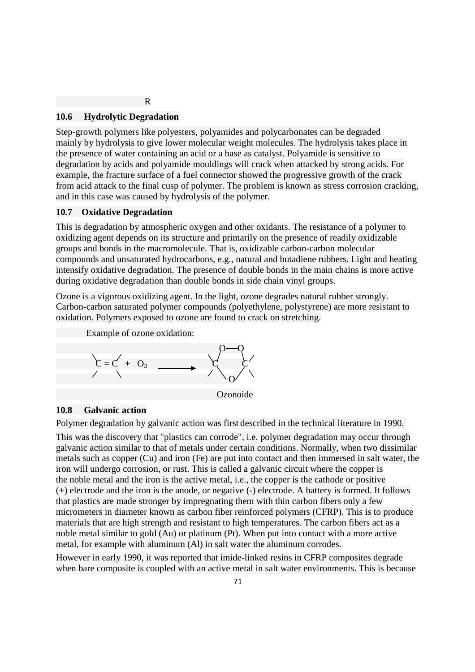#### **10.6 Hydrolytic Degradation**

Step-growth polymers like polyesters, polyamides and polycarbonates can be degraded mainly by hydrolysis to give lower molecular weight molecules. The hydrolysis takes place in the presence of water containing an acid or a base as catalyst. Polyamide is sensitive to degradation by acids and polyamide mouldings will crack when attacked by strong acids. For example, the fracture surface of a fuel connector showed the progressive growth of the crack from acid attack to the final cusp of polymer. The problem is known as stress corrosion cracking, and in this case was caused by hydrolysis of the polymer.

#### **10.7 Oxidative Degradation**

This is degradation by atmospheric oxygen and other oxidants. The resistance of a polymer to oxidizing agent depends on its structure and primarily on the presence of readily oxidizable groups and bonds in the macromolecule. That is, oxidizable carbon-carbon molecular compounds and unsaturated hydrocarbons, e.g., natural and butadiene rubbers. Light and heating intensify oxidative degradation. The presence of double bonds in the main chains is more active during oxidative degradation than double bonds in side chain vinyl groups.

Ozone is a vigorous oxidizing agent. In the light, ozone degrades natural rubber strongly. Carbon-carbon saturated polymer compounds (polyethylene, polystyrene) are more resistant to oxidation. Polymers exposed to ozone are found to crack on stretching.

Example of ozone oxidation:



#### **10.8 Galvanic action**

Polymer degradation by galvanic action was first described in the technical literature in 1990. This was the discovery that "plastics can corrode", i.e. polymer degradation may occur through galvanic action similar to that of metals under certain conditions. Normally, when two dissimilar metals such as copper (Cu) and iron (Fe) are put into contact and then immersed in salt water, the iron will undergo corrosion, or rust. This is called a galvanic circuit where the copper is the noble metal and the iron is the active metal, i.e., the copper is the cathode or positive (+) electrode and the iron is the anode, or negative (-) electrode. A battery is formed. It follows that plastics are made stronger by impregnating them with thin carbon fibers only a few micrometers in diameter known as carbon fiber reinforced polymers (CFRP). This is to produce materials that are high strength and resistant to high temperatures. The carbon fibers act as a noble metal similar to gold (Au) or platinum (Pt). When put into contact with a more active metal, for example with aluminum (Al) in salt water the aluminum corrodes.

However in early 1990, it was reported that imide-linked resins in CFRP composites degrade when bare composite is coupled with an active metal in salt water environments. This is because

**R R**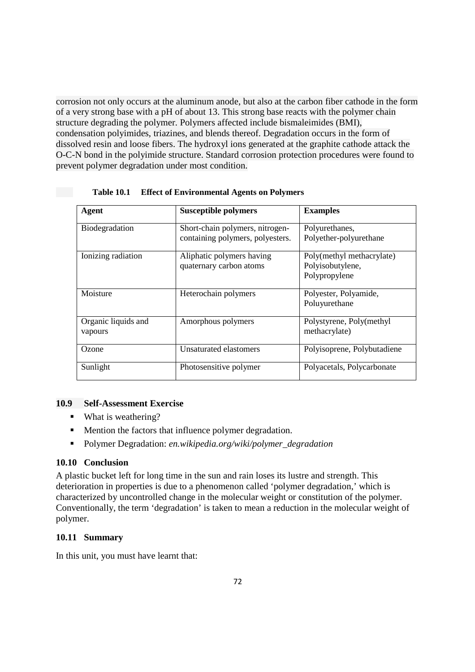corrosion not only occurs at the aluminum anode, but also at the carbon fiber cathode in the form of a very strong base with a pH of about 13. This strong base reacts with the polymer chain structure degrading the polymer. Polymers affected include bismaleimides (BMI), condensation polyimides, triazines, and blends thereof. Degradation occurs in the form of dissolved resin and loose fibers. The hydroxyl ions generated at the graphite cathode attack the O-C-N bond in the polyimide structure. Standard corrosion protection procedures were found to prevent polymer degradation under most condition.

| Agent                          | <b>Susceptible polymers</b>                                         | <b>Examples</b>                                                |
|--------------------------------|---------------------------------------------------------------------|----------------------------------------------------------------|
| Biodegradation                 | Short-chain polymers, nitrogen-<br>containing polymers, polyesters. | Polyurethanes,<br>Polyether-polyurethane                       |
| Ionizing radiation             | Aliphatic polymers having<br>quaternary carbon atoms                | Poly(methyl methacrylate)<br>Polyisobutylene,<br>Polypropylene |
| Moisture                       | Heterochain polymers                                                | Polyester, Polyamide,<br>Poluyurethane                         |
| Organic liquids and<br>vapours | Amorphous polymers                                                  | Polystyrene, Poly(methyl<br>methacrylate)                      |
| Ozone                          | Unsaturated elastomers                                              | Polyisoprene, Polybutadiene                                    |
| Sunlight                       | Photosensitive polymer                                              | Polyacetals, Polycarbonate                                     |

**Table 10.1 Effect of Environmental Agents on Polymers** 

#### **10.9 Self-Assessment Exercise**

- What is weathering?
- **•** Mention the factors that influence polymer degradation.
- Polymer Degradation: *en.wikipedia.org/wiki/polymer\_degradation*

#### **10.10 Conclusion**

A plastic bucket left for long time in the sun and rain loses its lustre and strength. This deterioration in properties is due to a phenomenon called 'polymer degradation,' which is characterized by uncontrolled change in the molecular weight or constitution of the polymer. Conventionally, the term 'degradation' is taken to mean a reduction in the molecular weight of polymer.

#### **10.11 Summary**

In this unit, you must have learnt that: